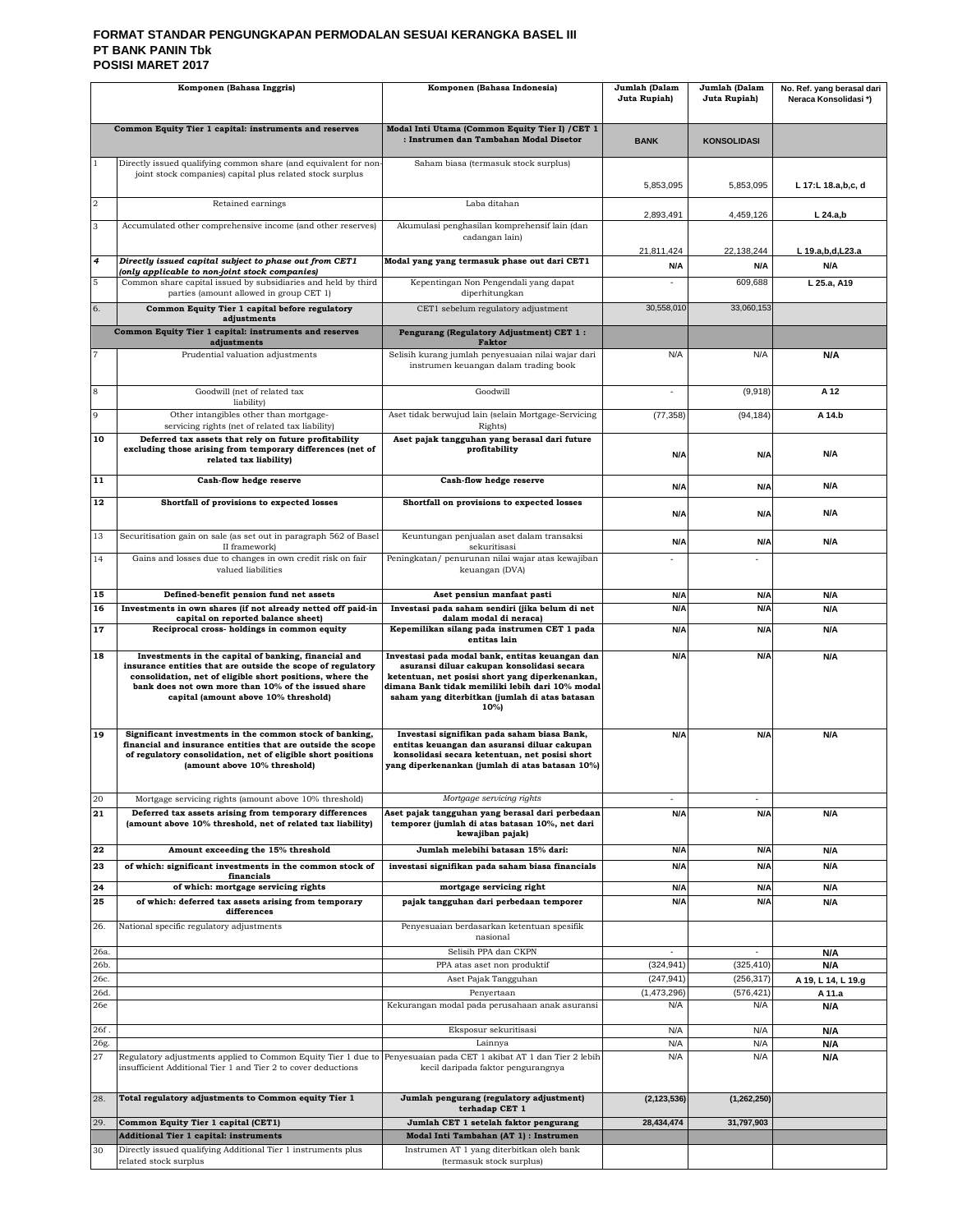#### **FORMAT STANDAR PENGUNGKAPAN PERMODALAN SESUAI KERANGKA BASEL III PT BANK PANIN Tbk POSISI MARET 2017**

| Komponen (Bahasa Inggris) |                                                                                                                                                                                                                                                                                 | Komponen (Bahasa Indonesia)                                                                                                                                                                                                                                  | Jumlah (Dalam<br>Juta Rupiah) | Jumlah (Dalam<br>Juta Rupiah) | No. Ref. yang berasal dari<br>Neraca Konsolidasi*) |
|---------------------------|---------------------------------------------------------------------------------------------------------------------------------------------------------------------------------------------------------------------------------------------------------------------------------|--------------------------------------------------------------------------------------------------------------------------------------------------------------------------------------------------------------------------------------------------------------|-------------------------------|-------------------------------|----------------------------------------------------|
|                           |                                                                                                                                                                                                                                                                                 |                                                                                                                                                                                                                                                              |                               |                               |                                                    |
|                           | Common Equity Tier 1 capital: instruments and reserves                                                                                                                                                                                                                          | Modal Inti Utama (Common Equity Tier I) / CET 1<br>: Instrumen dan Tambahan Modal Disetor                                                                                                                                                                    | <b>BANK</b>                   | <b>KONSOLIDASI</b>            |                                                    |
| $\mathbf{1}$              | Directly issued qualifying common share (and equivalent for non<br>joint stock companies) capital plus related stock surplus                                                                                                                                                    | Saham biasa (termasuk stock surplus)                                                                                                                                                                                                                         |                               |                               |                                                    |
|                           |                                                                                                                                                                                                                                                                                 |                                                                                                                                                                                                                                                              | 5,853,095                     | 5,853,095                     | L 17:L 18.a,b,c, d                                 |
| $\overline{\mathbf{2}}$   | Retained earnings                                                                                                                                                                                                                                                               | Laba ditahan                                                                                                                                                                                                                                                 | 2,893,491                     | 4,459,126                     | $L$ 24.a,b                                         |
| 3                         | Accumulated other comprehensive income (and other reserves)                                                                                                                                                                                                                     | Akumulasi penghasilan komprehensif lain (dan<br>cadangan lain)                                                                                                                                                                                               |                               |                               |                                                    |
|                           |                                                                                                                                                                                                                                                                                 |                                                                                                                                                                                                                                                              | 21,811,424                    | 22.138.244                    | L 19.a,b,d,L23.a                                   |
| $\overline{4}$            | Directly issued capital subject to phase out from CET1<br>(only applicable to non-joint stock companies)                                                                                                                                                                        | Modal yang yang termasuk phase out dari CET1                                                                                                                                                                                                                 | N/A                           | N/A                           | N/A                                                |
| 5                         | Common share capital issued by subsidiaries and held by third<br>parties (amount allowed in group CET 1)                                                                                                                                                                        | Kepentingan Non Pengendali yang dapat<br>diperhitungkan                                                                                                                                                                                                      |                               | 609,688                       | L 25.a, A19                                        |
| 6.                        | Common Equity Tier 1 capital before regulatory<br>adjustments                                                                                                                                                                                                                   | CET1 sebelum regulatory adjustment                                                                                                                                                                                                                           | 30,558,010                    | 33,060,153                    |                                                    |
|                           | Common Equity Tier 1 capital: instruments and reserves<br>adjustments                                                                                                                                                                                                           | Pengurang (Regulatory Adjustment) CET 1:<br><b>Faktor</b>                                                                                                                                                                                                    |                               |                               |                                                    |
| $\overline{7}$            | Prudential valuation adjustments                                                                                                                                                                                                                                                | Selisih kurang jumlah penyesuaian nilai wajar dari<br>instrumen keuangan dalam trading book                                                                                                                                                                  | N/A                           | N/A                           | N/A                                                |
| 8                         | Goodwill (net of related tax                                                                                                                                                                                                                                                    | Goodwill                                                                                                                                                                                                                                                     |                               | (9,918)                       | A 12                                               |
| 9                         | liability)<br>Other intangibles other than mortgage-                                                                                                                                                                                                                            | Aset tidak berwujud lain (selain Mortgage-Servicing                                                                                                                                                                                                          | (77, 358)                     | (94, 184)                     | A 14.b                                             |
| 10                        | servicing rights (net of related tax liability)<br>Deferred tax assets that rely on future profitability                                                                                                                                                                        | Rights)<br>Aset pajak tangguhan yang berasal dari future                                                                                                                                                                                                     |                               |                               |                                                    |
|                           | excluding those arising from temporary differences (net of<br>related tax liability)                                                                                                                                                                                            | profitability                                                                                                                                                                                                                                                | N/A                           | N/A                           | N/A                                                |
| 11                        | Cash-flow hedge reserve                                                                                                                                                                                                                                                         | Cash-flow hedge reserve                                                                                                                                                                                                                                      | N/A                           | N/A                           | N/A                                                |
| 12                        | Shortfall of provisions to expected losses                                                                                                                                                                                                                                      | Shortfall on provisions to expected losses                                                                                                                                                                                                                   | N/A                           | N/A                           | N/A                                                |
| 13                        | Securitisation gain on sale (as set out in paragraph 562 of Basel<br>II framework)                                                                                                                                                                                              | Keuntungan penjualan aset dalam transaksi<br>sekuritisasi                                                                                                                                                                                                    | N/A                           | N/A                           | <b>N/A</b>                                         |
| 14                        | Gains and losses due to changes in own credit risk on fair<br>valued liabilities                                                                                                                                                                                                | Peningkatan/ penurunan nilai wajar atas kewajiban<br>keuangan (DVA)                                                                                                                                                                                          |                               |                               |                                                    |
| 15                        | Defined-benefit pension fund net assets                                                                                                                                                                                                                                         | Aset pensiun manfaat pasti                                                                                                                                                                                                                                   | N/A                           | N/A                           | N/A                                                |
| 16                        | Investments in own shares (if not already netted off paid-in<br>capital on reported balance sheet)                                                                                                                                                                              | Investasi pada saham sendiri (jika belum di net<br>dalam modal di neraca)                                                                                                                                                                                    | N/A                           | N/A                           | N/A                                                |
| 17                        | Reciprocal cross-holdings in common equity                                                                                                                                                                                                                                      | Kepemilikan silang pada instrumen CET 1 pada<br>entitas lain                                                                                                                                                                                                 | N/A                           | N/A                           | N/A                                                |
| 18                        | Investments in the capital of banking, financial and<br>insurance entities that are outside the scope of regulatory<br>consolidation, net of eligible short positions, where the<br>bank does not own more than 10% of the issued share<br>capital (amount above 10% threshold) | Investasi pada modal bank, entitas keuangan dan<br>asuransi diluar cakupan konsolidasi secara<br>ketentuan, net posisi short yang diperkenankan,<br>dimana Bank tidak memiliki lebih dari 10% modal<br>saham yang diterbitkan (jumlah di atas batasan<br>10% | N/A                           | N/A                           | N/A                                                |
| 19                        | Significant investments in the common stock of banking,<br>financial and insurance entities that are outside the scope<br>of regulatory consolidation, net of eligible short positions<br>(amount above 10% threshold)                                                          | Investasi signifikan pada saham biasa Bank,<br>entitas keuangan dan asuransi diluar cakupan<br>konsolidasi secara ketentuan, net posisi short<br>yang diperkenankan (jumlah di atas batasan 10%)                                                             | N/A                           | N/A                           | N/A                                                |
| 20<br>21                  | Mortgage servicing rights (amount above 10% threshold)<br>Deferred tax assets arising from temporary differences<br>(amount above 10% threshold, net of related tax liability)                                                                                                  | Mortgage servicing rights<br>Aset pajak tangguhan yang berasal dari perbedaan<br>temporer (jumlah di atas batasan 10%, net dari<br>kewajiban pajak)                                                                                                          | ٠<br>N/A                      | $\sim$<br>N/A                 | N/A                                                |
| 22                        | Amount exceeding the 15% threshold                                                                                                                                                                                                                                              | Jumlah melebihi batasan 15% dari:                                                                                                                                                                                                                            | N/A                           | N/A                           | N/A                                                |
| 23                        | of which: significant investments in the common stock of<br>financials                                                                                                                                                                                                          | investasi signifikan pada saham biasa financials                                                                                                                                                                                                             | N/A                           | N/A                           | N/A                                                |
| 24                        | of which: mortgage servicing rights                                                                                                                                                                                                                                             | mortgage servicing right                                                                                                                                                                                                                                     | N/A                           | N/A                           | N/A                                                |
| 25                        | of which: deferred tax assets arising from temporary<br>differences                                                                                                                                                                                                             | pajak tangguhan dari perbedaan temporer                                                                                                                                                                                                                      | N/A                           | N/A                           | N/A                                                |
| 26.                       | National specific regulatory adjustments                                                                                                                                                                                                                                        | Penyesuaian berdasarkan ketentuan spesifik<br>nasional                                                                                                                                                                                                       |                               |                               |                                                    |
| 26a.                      |                                                                                                                                                                                                                                                                                 | Selisih PPA dan CKPN                                                                                                                                                                                                                                         | ä,                            | $\sim$                        | N/A                                                |
| 26b.<br>26с.              |                                                                                                                                                                                                                                                                                 | PPA atas aset non produktif<br>Aset Pajak Tangguhan                                                                                                                                                                                                          | (324, 941)<br>(247, 941)      | (325, 410)<br>(256, 317)      | N/A<br>A 19, L 14, L 19.g                          |
| 26d.                      |                                                                                                                                                                                                                                                                                 | Penyertaan                                                                                                                                                                                                                                                   | (1,473,296)                   | (576, 421)                    | A 11.a                                             |
| 26e                       |                                                                                                                                                                                                                                                                                 | Kekurangan modal pada perusahaan anak asuransi                                                                                                                                                                                                               | N/A                           | N/A                           | N/A                                                |
| 26f.                      |                                                                                                                                                                                                                                                                                 | Eksposur sekuritisasi                                                                                                                                                                                                                                        | N/A                           | N/A                           | N/A                                                |
| 26g.<br>27                | Regulatory adjustments applied to Common Equity Tier 1 due to<br>insufficient Additional Tier 1 and Tier 2 to cover deductions                                                                                                                                                  | Lainnya<br>Penyesuaian pada CET 1 akibat AT 1 dan Tier 2 lebih<br>kecil daripada faktor pengurangnya                                                                                                                                                         | N/A<br>N/A                    | N/A<br>N/A                    | N/A<br>N/A                                         |
| 28.                       | Total regulatory adjustments to Common equity Tier 1                                                                                                                                                                                                                            | Jumlah pengurang (regulatory adjustment)<br>terhadap CET 1                                                                                                                                                                                                   | (2, 123, 536)                 | (1, 262, 250)                 |                                                    |
| 29.                       | Common Equity Tier 1 capital (CET1)<br><b>Additional Tier 1 capital: instruments</b>                                                                                                                                                                                            | Jumlah CET 1 setelah faktor pengurang<br>Modal Inti Tambahan (AT 1) : Instrumen                                                                                                                                                                              | 28,434,474                    | 31,797,903                    |                                                    |
| 30                        | Directly issued qualifying Additional Tier 1 instruments plus                                                                                                                                                                                                                   | Instrumen AT 1 yang diterbitkan oleh bank                                                                                                                                                                                                                    |                               |                               |                                                    |
|                           | related stock surplus                                                                                                                                                                                                                                                           | (termasuk stock surplus)                                                                                                                                                                                                                                     |                               |                               |                                                    |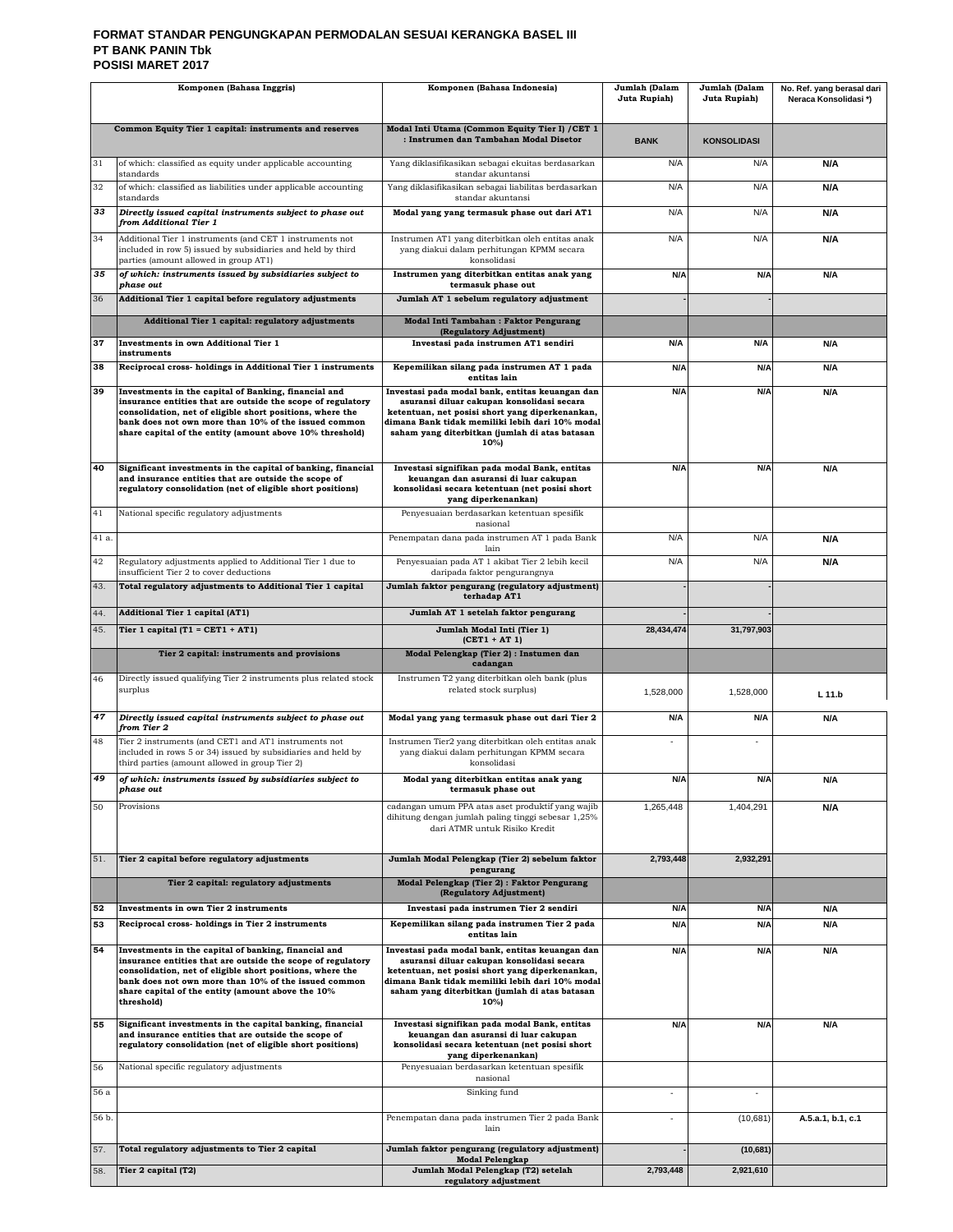#### **FORMAT STANDAR PENGUNGKAPAN PERMODALAN SESUAI KERANGKA BASEL III PT BANK PANIN Tbk POSISI MARET 2017**

| Komponen (Bahasa Inggris) |                                                                                                                                                                                                                                                     | Komponen (Bahasa Indonesia)                                                                                                                                                                                | Jumlah (Dalam<br>Juta Rupiah) | Jumlah (Dalam<br>Juta Rupiah) | No. Ref. yang berasal dari<br>Neraca Konsolidasi*) |
|---------------------------|-----------------------------------------------------------------------------------------------------------------------------------------------------------------------------------------------------------------------------------------------------|------------------------------------------------------------------------------------------------------------------------------------------------------------------------------------------------------------|-------------------------------|-------------------------------|----------------------------------------------------|
|                           |                                                                                                                                                                                                                                                     |                                                                                                                                                                                                            |                               |                               |                                                    |
|                           | Common Equity Tier 1 capital: instruments and reserves                                                                                                                                                                                              | Modal Inti Utama (Common Equity Tier I) / CET 1<br>: Instrumen dan Tambahan Modal Disetor                                                                                                                  | <b>BANK</b>                   | <b>KONSOLIDASI</b>            |                                                    |
| 31                        | of which: classified as equity under applicable accounting<br>standards                                                                                                                                                                             | Yang diklasifikasikan sebagai ekuitas berdasarkan<br>standar akuntansi                                                                                                                                     | N/A                           | N/A                           | N/A                                                |
| 32                        | of which: classified as liabilities under applicable accounting<br>standards                                                                                                                                                                        | Yang diklasifikasikan sebagai liabilitas berdasarkan<br>standar akuntansi                                                                                                                                  | N/A                           | N/A                           | N/A                                                |
| 33                        | Directly issued capital instruments subject to phase out<br>from Additional Tier 1                                                                                                                                                                  | Modal yang yang termasuk phase out dari AT1                                                                                                                                                                | N/A                           | N/A                           | N/A                                                |
| 34                        | Additional Tier 1 instruments (and CET 1 instruments not<br>included in row 5) issued by subsidiaries and held by third<br>parties (amount allowed in group AT1)                                                                                    | Instrumen AT1 yang diterbitkan oleh entitas anak<br>yang diakui dalam perhitungan KPMM secara<br>konsolidasi                                                                                               | N/A                           | N/A                           | N/A                                                |
| 35                        | of which: instruments issued by subsidiaries subject to<br>phase out                                                                                                                                                                                | Instrumen yang diterbitkan entitas anak yang<br>termasuk phase out                                                                                                                                         | N/A                           | N/A                           | N/A                                                |
| 36                        | Additional Tier 1 capital before regulatory adjustments                                                                                                                                                                                             | Jumlah AT 1 sebelum regulatory adjustment                                                                                                                                                                  |                               |                               |                                                    |
|                           | Additional Tier 1 capital: regulatory adjustments                                                                                                                                                                                                   | Modal Inti Tambahan: Faktor Pengurang<br>(Regulatory Adjustment)                                                                                                                                           |                               |                               |                                                    |
| 37                        | <b>Investments in own Additional Tier 1</b><br>instruments                                                                                                                                                                                          | Investasi pada instrumen AT1 sendiri                                                                                                                                                                       | N/A                           | <b>N/A</b>                    | N/A                                                |
| 38                        | Reciprocal cross- holdings in Additional Tier 1 instruments                                                                                                                                                                                         | Kepemilikan silang pada instrumen AT 1 pada<br>entitas lain                                                                                                                                                | N/A                           | N/A                           | N/A                                                |
| 39                        | Investments in the capital of Banking, financial and<br>insurance entities that are outside the scope of regulatory                                                                                                                                 | Investasi pada modal bank, entitas keuangan dan<br>asuransi diluar cakupan konsolidasi secara                                                                                                              | N/A                           | N/A                           | N/A                                                |
|                           | consolidation, net of eligible short positions, where the<br>bank does not own more than 10% of the issued common                                                                                                                                   | ketentuan, net posisi short yang diperkenankan,<br>dimana Bank tidak memiliki lebih dari 10% modal                                                                                                         |                               |                               |                                                    |
|                           | share capital of the entity (amount above 10% threshold)                                                                                                                                                                                            | saham yang diterbitkan (jumlah di atas batasan<br>10%)                                                                                                                                                     |                               |                               |                                                    |
| 40                        | Significant investments in the capital of banking, financial<br>and insurance entities that are outside the scope of<br>regulatory consolidation (net of eligible short positions)                                                                  | Investasi signifikan pada modal Bank, entitas<br>keuangan dan asuransi di luar cakupan<br>konsolidasi secara ketentuan (net posisi short<br>yang diperkenankan)                                            | N/A                           | N/A                           | N/A                                                |
| 41                        | National specific regulatory adjustments                                                                                                                                                                                                            | Penyesuaian berdasarkan ketentuan spesifik<br>nasional                                                                                                                                                     |                               |                               |                                                    |
| 41 a.                     |                                                                                                                                                                                                                                                     | Penempatan dana pada instrumen AT 1 pada Bank<br>lain                                                                                                                                                      | N/A                           | N/A                           | N/A                                                |
| 42                        | Regulatory adjustments applied to Additional Tier 1 due to<br>insufficient Tier 2 to cover deductions                                                                                                                                               | Penyesuaian pada AT 1 akibat Tier 2 lebih kecil<br>daripada faktor pengurangnya                                                                                                                            | N/A                           | N/A                           | N/A                                                |
| 43.                       | Total regulatory adjustments to Additional Tier 1 capital                                                                                                                                                                                           | Jumlah faktor pengurang (regulatory adjustment)<br>terhadap AT1                                                                                                                                            |                               |                               |                                                    |
| 44.                       | Additional Tier 1 capital (AT1)                                                                                                                                                                                                                     | Jumlah AT 1 setelah faktor pengurang                                                                                                                                                                       |                               |                               |                                                    |
| 45.                       | Tier 1 capital $(T1 = CET1 + AT1)$                                                                                                                                                                                                                  | Jumlah Modal Inti (Tier 1)<br>$(CET1 + AT1)$                                                                                                                                                               | 28,434,474                    | 31,797,903                    |                                                    |
|                           | Tier 2 capital: instruments and provisions                                                                                                                                                                                                          | Modal Pelengkap (Tier 2) : Instumen dan<br>cadangan                                                                                                                                                        |                               |                               |                                                    |
| 46                        | Directly issued qualifying Tier 2 instruments plus related stock<br>surplus                                                                                                                                                                         | Instrumen T2 yang diterbitkan oleh bank (plus<br>related stock surplus)                                                                                                                                    | 1,528,000                     | 1,528,000                     | L 11.b                                             |
| 47                        | Directly issued capital instruments subject to phase out<br>from Tier 2                                                                                                                                                                             | Modal yang yang termasuk phase out dari Tier 2                                                                                                                                                             | N/A                           | N/A                           | N/A                                                |
| 48                        | Tier 2 instruments (and CET1 and AT1 instruments not<br>included in rows 5 or 34) issued by subsidiaries and held by<br>third parties (amount allowed in group Tier 2)                                                                              | Instrumen Tier2 yang diterbitkan oleh entitas anak<br>yang diakui dalam perhitungan KPMM secara<br>konsolidasi                                                                                             |                               |                               |                                                    |
|                           | of which: instruments issued by subsidiaries subject to<br>phase out                                                                                                                                                                                | Modal yang diterbitkan entitas anak yang<br>termasuk phase out                                                                                                                                             | N/A                           | N/A                           | N/A                                                |
| 50                        | Provisions                                                                                                                                                                                                                                          | cadangan umum PPA atas aset produktif yang wajib                                                                                                                                                           | 1,265,448                     | 1,404,291                     | N/A                                                |
|                           |                                                                                                                                                                                                                                                     | dihitung dengan jumlah paling tinggi sebesar 1,25%<br>dari ATMR untuk Risiko Kredit                                                                                                                        |                               |                               |                                                    |
| 51.                       | Tier 2 capital before regulatory adjustments                                                                                                                                                                                                        | Jumlah Modal Pelengkap (Tier 2) sebelum faktor<br>pengurang                                                                                                                                                | 2,793,448                     | 2,932,291                     |                                                    |
|                           | Tier 2 capital: regulatory adjustments                                                                                                                                                                                                              | Modal Pelengkap (Tier 2) : Faktor Pengurang                                                                                                                                                                |                               |                               |                                                    |
| 52                        | Investments in own Tier 2 instruments                                                                                                                                                                                                               | (Regulatory Adjustment)<br>Investasi pada instrumen Tier 2 sendiri                                                                                                                                         | N/A                           | N/A                           | N/A                                                |
| 53                        | Reciprocal cross-holdings in Tier 2 instruments                                                                                                                                                                                                     | Kepemilikan silang pada instrumen Tier 2 pada<br>entitas lain                                                                                                                                              | N/A                           | N/A                           | N/A                                                |
| 54                        | Investments in the capital of banking, financial and                                                                                                                                                                                                | Investasi pada modal bank, entitas keuangan dan                                                                                                                                                            | N/A                           | N/A                           | N/A                                                |
|                           | insurance entities that are outside the scope of regulatory<br>consolidation, net of eligible short positions, where the<br>bank does not own more than 10% of the issued common<br>share capital of the entity (amount above the 10%<br>threshold) | asuransi diluar cakupan konsolidasi secara<br>ketentuan, net posisi short yang diperkenankan,<br>dimana Bank tidak memiliki lebih dari 10% modal<br>saham yang diterbitkan (jumlah di atas batasan<br>10%) |                               |                               |                                                    |
| 55                        | Significant investments in the capital banking, financial<br>and insurance entities that are outside the scope of<br>regulatory consolidation (net of eligible short positions)                                                                     | Investasi signifikan pada modal Bank, entitas<br>keuangan dan asuransi di luar cakupan<br>konsolidasi secara ketentuan (net posisi short<br>yang diperkenankan)                                            | N/A                           | N/A                           | N/A                                                |
| 56                        | National specific regulatory adjustments                                                                                                                                                                                                            | Penyesuaian berdasarkan ketentuan spesifik<br>nasional                                                                                                                                                     |                               |                               |                                                    |
| $56\ \rm{a}$              |                                                                                                                                                                                                                                                     | Sinking fund                                                                                                                                                                                               | $\overline{\phantom{a}}$      | $\overline{\phantom{a}}$      |                                                    |
| 56 b.                     |                                                                                                                                                                                                                                                     | Penempatan dana pada instrumen Tier 2 pada Bank<br>lain                                                                                                                                                    |                               | (10, 681)                     | A.5.a.1, b.1, c.1                                  |
| 57.                       | Total regulatory adjustments to Tier 2 capital                                                                                                                                                                                                      | Jumlah faktor pengurang (regulatory adjustment)<br><b>Modal Pelengkap</b>                                                                                                                                  |                               | (10, 681)                     |                                                    |
| 58.                       | Tier 2 capital (T2)                                                                                                                                                                                                                                 | Jumlah Modal Pelengkap (T2) setelah<br>regulatory adjustment                                                                                                                                               | 2,793,448                     | 2,921,610                     |                                                    |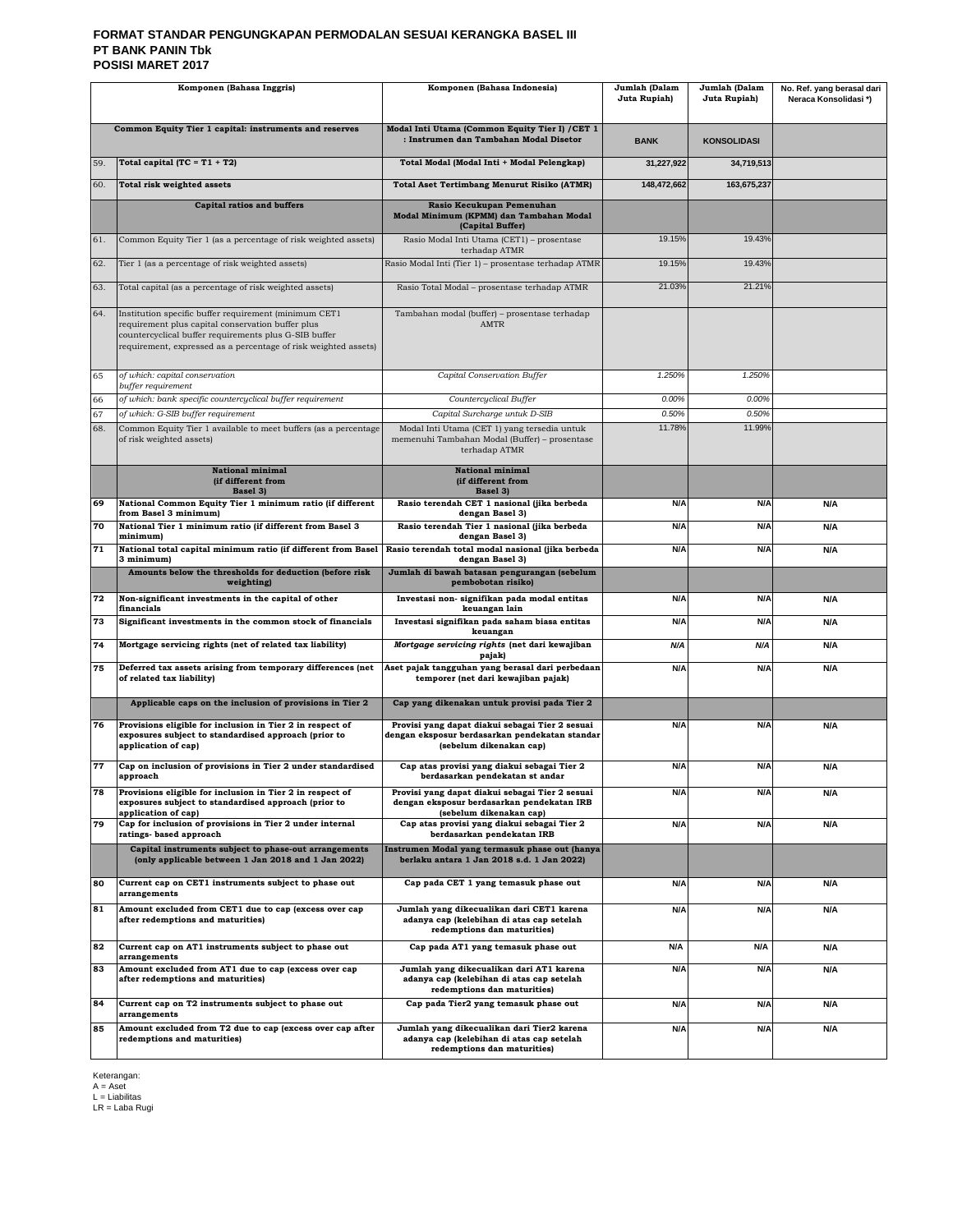#### **FORMAT STANDAR PENGUNGKAPAN PERMODALAN SESUAI KERANGKA BASEL III PT BANK PANIN Tbk POSISI MARET 2017**

| Komponen (Bahasa Inggris)                                                                      |                                                                                                                                                                                                                                        | Komponen (Bahasa Indonesia)                                                                                                  | Jumlah (Dalam<br>Juta Rupiah) | Jumlah (Dalam<br>Juta Rupiah) | No. Ref. yang berasal dari<br>Neraca Konsolidasi*) |
|------------------------------------------------------------------------------------------------|----------------------------------------------------------------------------------------------------------------------------------------------------------------------------------------------------------------------------------------|------------------------------------------------------------------------------------------------------------------------------|-------------------------------|-------------------------------|----------------------------------------------------|
|                                                                                                | Common Equity Tier 1 capital: instruments and reserves                                                                                                                                                                                 | Modal Inti Utama (Common Equity Tier I) / CET 1<br>: Instrumen dan Tambahan Modal Disetor                                    | <b>BANK</b>                   | <b>KONSOLIDASI</b>            |                                                    |
| 59.                                                                                            | Total capital $(TC = T1 + T2)$                                                                                                                                                                                                         | Total Modal (Modal Inti + Modal Pelengkap)                                                                                   | 31,227,922                    | 34,719,513                    |                                                    |
| 60.                                                                                            | Total risk weighted assets                                                                                                                                                                                                             | <b>Total Aset Tertimbang Menurut Risiko (ATMR)</b>                                                                           | 148,472,662                   | 163,675,237                   |                                                    |
|                                                                                                | <b>Capital ratios and buffers</b>                                                                                                                                                                                                      | Rasio Kecukupan Pemenuhan<br>Modal Minimum (KPMM) dan Tambahan Modal<br>(Capital Buffer)                                     |                               |                               |                                                    |
| 61.                                                                                            | Common Equity Tier 1 (as a percentage of risk weighted assets)                                                                                                                                                                         | Rasio Modal Inti Utama (CET1) - prosentase<br>terhadap ATMR                                                                  | 19.15%                        | 19.43%                        |                                                    |
| 62.                                                                                            | Tier 1 (as a percentage of risk weighted assets)                                                                                                                                                                                       | Rasio Modal Inti (Tier 1) - prosentase terhadap ATMR                                                                         | 19.15%                        | 19.43%                        |                                                    |
| 63.                                                                                            | Total capital (as a percentage of risk weighted assets)                                                                                                                                                                                | Rasio Total Modal - prosentase terhadap ATMR                                                                                 | 21.03%                        | 21.21%                        |                                                    |
| 64.                                                                                            | Institution specific buffer requirement (minimum CET1<br>requirement plus capital conservation buffer plus<br>countercyclical buffer requirements plus G-SIB buffer<br>requirement, expressed as a percentage of risk weighted assets) | Tambahan modal (buffer) - prosentase terhadap<br><b>AMTR</b>                                                                 |                               |                               |                                                    |
| 65                                                                                             | of which: capital conservation<br>buffer requirement                                                                                                                                                                                   | Capital Conservation Buffer                                                                                                  | 1.250%                        | 1.250%                        |                                                    |
| 66                                                                                             | of which: bank specific countercyclical buffer requirement                                                                                                                                                                             | Countercyclical Buffer                                                                                                       | 0.00%                         | 0.00%                         |                                                    |
| 67<br>68.                                                                                      | of which: G-SIB buffer requirement<br>Common Equity Tier 1 available to meet buffers (as a percentage                                                                                                                                  | Capital Surcharge untuk D-SIB<br>Modal Inti Utama (CET 1) yang tersedia untuk                                                | 0.50%<br>11.78%               | 0.50%<br>11.99%               |                                                    |
|                                                                                                | of risk weighted assets)                                                                                                                                                                                                               | memenuhi Tambahan Modal (Buffer) - prosentase<br>terhadap ATMR                                                               |                               |                               |                                                    |
|                                                                                                | <b>National minimal</b><br>(if different from<br>Basel 3)                                                                                                                                                                              | <b>National minimal</b><br>(if different from<br>Basel 3)                                                                    |                               |                               |                                                    |
| 69                                                                                             | National Common Equity Tier 1 minimum ratio (if different<br>from Basel 3 minimum)                                                                                                                                                     | Rasio terendah CET 1 nasional (jika berbeda<br>dengan Basel 3)                                                               | N/A                           | N/A                           | N/A                                                |
| 70                                                                                             | National Tier 1 minimum ratio (if different from Basel 3<br>minimum)                                                                                                                                                                   | Rasio terendah Tier 1 nasional (jika berbeda<br>dengan Basel 3)                                                              | N/A                           | N/A                           | N/A                                                |
| 71                                                                                             | National total capital minimum ratio (if different from Basel<br>3 minimum)                                                                                                                                                            | Rasio terendah total modal nasional (jika berbeda<br>dengan Basel 3)                                                         | N/A                           | N/A                           | N/A                                                |
|                                                                                                | Amounts below the thresholds for deduction (before risk<br>weighting)                                                                                                                                                                  | Jumlah di bawah batasan pengurangan (sebelum<br>pembobotan risiko)                                                           |                               |                               |                                                    |
| 72                                                                                             | Non-significant investments in the capital of other<br>financials                                                                                                                                                                      | Investasi non- signifikan pada modal entitas<br>keuangan lain                                                                | N/A                           | N/A                           | N/A                                                |
| 73                                                                                             | Significant investments in the common stock of financials                                                                                                                                                                              | Investasi signifikan pada saham biasa entitas<br>keuangan                                                                    | N/A                           | N/A                           | <b>N/A</b>                                         |
| 74                                                                                             | Mortgage servicing rights (net of related tax liability)                                                                                                                                                                               | Mortgage servicing rights (net dari kewajiban<br>pajak)                                                                      | N/A                           | N/A                           | N/A                                                |
| 75                                                                                             | Deferred tax assets arising from temporary differences (net<br>of related tax liability)                                                                                                                                               | Aset pajak tangguhan yang berasal dari perbedaan<br>temporer (net dari kewajiban pajak)                                      | N/A                           | N/A                           | N/A                                                |
|                                                                                                | Applicable caps on the inclusion of provisions in Tier 2                                                                                                                                                                               | Cap yang dikenakan untuk provisi pada Tier 2                                                                                 |                               |                               |                                                    |
| 76                                                                                             | Provisions eligible for inclusion in Tier 2 in respect of<br>exposures subject to standardised approach (prior to<br>application of cap)                                                                                               | Provisi yang dapat diakui sebagai Tier 2 sesuai<br>dengan eksposur berdasarkan pendekatan standar<br>(sebelum dikenakan cap) | N/A                           | N/A                           | N/A                                                |
| 77                                                                                             | Cap on inclusion of provisions in Tier 2 under standardised<br>approach                                                                                                                                                                | Cap atas provisi yang diakui sebagai Tier 2<br>berdasarkan pendekatan st andar                                               | N/A                           | N/A                           | N/A                                                |
| 78                                                                                             | Provisions eligible for inclusion in Tier 2 in respect of<br>exposures subject to standardised approach (prior to<br>application of cap)                                                                                               | Provisi yang dapat diakui sebagai Tier 2 sesuai<br>dengan eksposur berdasarkan pendekatan IRB<br>(sebelum dikenakan cap)     | N/A                           | N/A                           | N/A                                                |
| 79                                                                                             | Cap for inclusion of provisions in Tier 2 under internal<br>ratings- based approach                                                                                                                                                    | Cap atas provisi yang diakui sebagai Tier 2<br>berdasarkan pendekatan IRB                                                    | N/A                           | N/A                           | N/A                                                |
|                                                                                                | Capital instruments subject to phase-out arrangements<br>(only applicable between 1 Jan 2018 and 1 Jan 2022)                                                                                                                           | Instrumen Modal yang termasuk phase out (hanya<br>berlaku antara 1 Jan 2018 s.d. 1 Jan 2022)                                 |                               |                               |                                                    |
| 80                                                                                             | Current cap on CET1 instruments subject to phase out<br>arrangements                                                                                                                                                                   | Cap pada CET 1 yang temasuk phase out                                                                                        | N/A                           | N/A                           | N/A                                                |
| 81                                                                                             | Amount excluded from CET1 due to cap (excess over cap<br>after redemptions and maturities)                                                                                                                                             | Jumlah yang dikecualikan dari CET1 karena<br>adanya cap (kelebihan di atas cap setelah<br>redemptions dan maturities)        | N/A                           | N/A                           | N/A                                                |
| 82                                                                                             | Current cap on AT1 instruments subject to phase out<br>arrangements                                                                                                                                                                    | Cap pada AT1 yang temasuk phase out                                                                                          | N/A                           | N/A                           | N/A                                                |
| 83                                                                                             | Amount excluded from AT1 due to cap (excess over cap<br>after redemptions and maturities)                                                                                                                                              | Jumlah yang dikecualikan dari AT1 karena<br>adanya cap (kelebihan di atas cap setelah<br>redemptions dan maturities)         | N/A                           | N/A                           | N/A                                                |
| 84                                                                                             | Current cap on T2 instruments subject to phase out<br>arrangements                                                                                                                                                                     | Cap pada Tier2 yang temasuk phase out                                                                                        | N/A                           | N/A                           | N/A                                                |
| 85<br>Amount excluded from T2 due to cap (excess over cap after<br>redemptions and maturities) |                                                                                                                                                                                                                                        | Jumlah yang dikecualikan dari Tier2 karena<br>adanya cap (kelebihan di atas cap setelah<br>redemptions dan maturities)       | N/A                           | N/A                           | N/A                                                |

Keterangan: A = Aset L = Liabilitas LR = Laba Rugi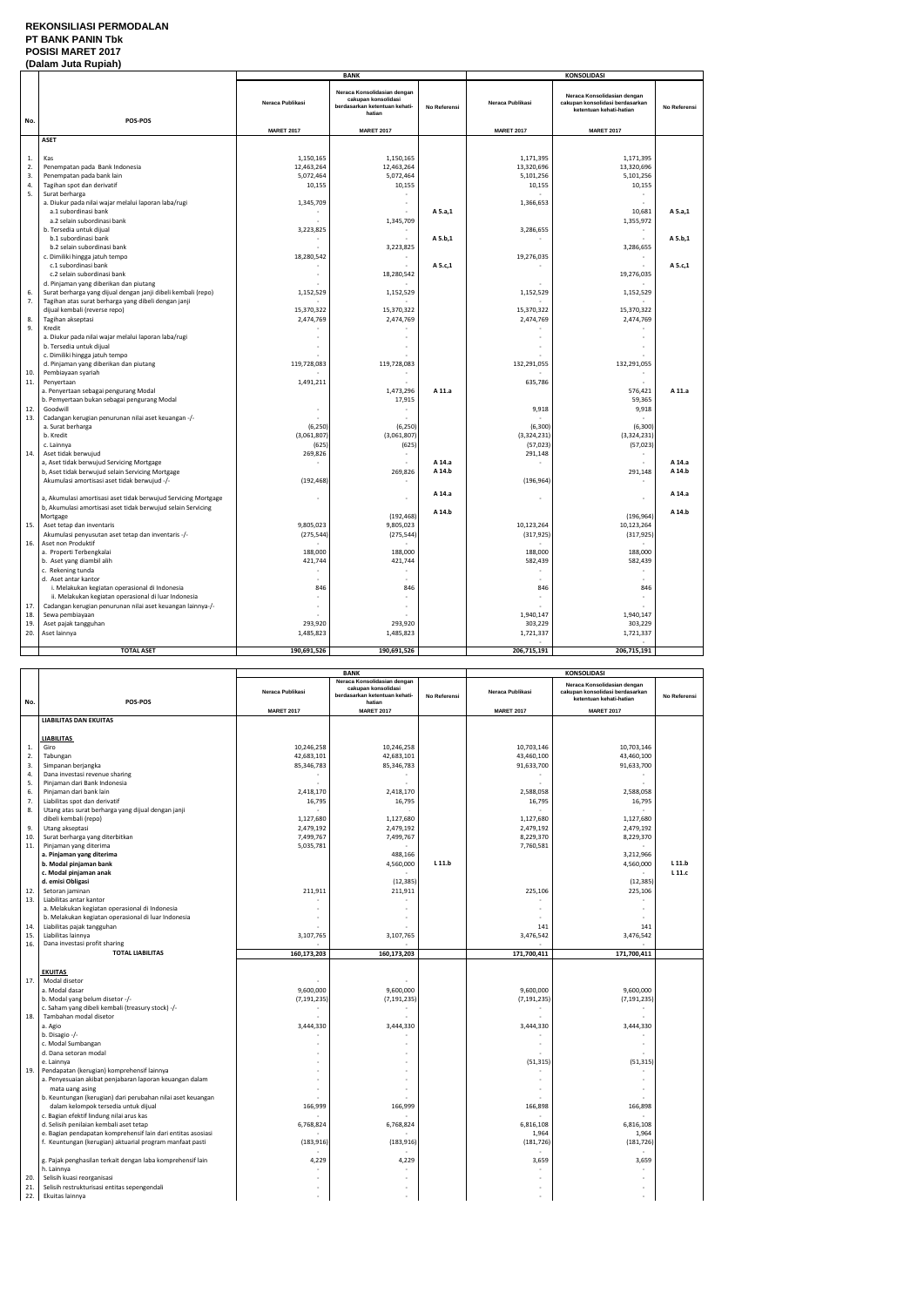## **REKONSILIASI PERMODALAN PT BANK PANIN Tbk POSISI MARET 2017**

|          | (Dalam Juta Rupiah)                                                   |                          |                                                                                               |              |                         |                                                                                           |              |  |
|----------|-----------------------------------------------------------------------|--------------------------|-----------------------------------------------------------------------------------------------|--------------|-------------------------|-------------------------------------------------------------------------------------------|--------------|--|
|          |                                                                       |                          | <b>BANK</b>                                                                                   |              |                         | KONSOLIDASI                                                                               |              |  |
| No.      | POS-POS                                                               | Neraca Publikasi         | Neraca Konsolidasian dengan<br>cakupan konsolidasi<br>berdasarkan ketentuan kehati-<br>hatian | No Referensi | Neraca Publikasi        | Neraca Konsolidasian dengan<br>cakupan konsolidasi berdasarkan<br>ketentuan kehati-hatian | No Referensi |  |
|          |                                                                       | <b>MARET 2017</b>        | <b>MARET 2017</b>                                                                             |              | <b>MARET 2017</b>       | <b>MARET 2017</b>                                                                         |              |  |
|          | <b>ASET</b>                                                           |                          |                                                                                               |              |                         |                                                                                           |              |  |
|          |                                                                       |                          |                                                                                               |              |                         |                                                                                           |              |  |
| 1.       | Kas<br>Penempatan pada Bank Indonesia                                 | 1,150,165                | 1,150,165                                                                                     |              | 1,171,395               | 1,171,395                                                                                 |              |  |
| 2.<br>3. | Penempatan pada bank lain                                             | 12,463,264<br>5,072,464  | 12,463,264<br>5,072,464                                                                       |              | 13,320,696<br>5,101,256 | 13,320,696<br>5,101,256                                                                   |              |  |
| 4.       | Tagihan spot dan derivatif                                            | 10,155                   | 10,155                                                                                        |              | 10,155                  | 10,155                                                                                    |              |  |
| 5.       | Surat berharga                                                        |                          |                                                                                               |              | ÷                       |                                                                                           |              |  |
|          | a. Diukur pada nilai wajar melalui laporan laba/rugi                  | 1,345,709                |                                                                                               |              | 1,366,653               |                                                                                           |              |  |
|          | a.1 subordinasi bank                                                  |                          |                                                                                               | A 5.a,1      |                         | 10,681                                                                                    | A 5.a,1      |  |
|          | a.2 selain subordinasi bank                                           |                          | 1,345,709                                                                                     |              |                         | 1,355,972                                                                                 |              |  |
|          | b. Tersedia untuk dijual                                              | 3,223,825                |                                                                                               |              | 3,286,655               |                                                                                           |              |  |
|          | b.1 subordinasi bank                                                  |                          |                                                                                               | A 5.b,1      | $\sim$                  |                                                                                           | A 5.b,1      |  |
|          | b.2 selain subordinasi bank                                           |                          | 3,223,825                                                                                     |              |                         | 3,286,655                                                                                 |              |  |
|          | c. Dimiliki hingga jatuh tempo                                        | 18,280,542               | $\sim$                                                                                        |              | 19,276,035              | $\sim$                                                                                    |              |  |
|          | c.1 subordinasi bank                                                  |                          |                                                                                               | A 5.c,1      |                         |                                                                                           | A 5.c,1      |  |
|          | c.2 selain subordinasi bank<br>d. Pinjaman yang diberikan dan piutang | $\sim$                   | 18,280,542                                                                                    |              |                         | 19,276,035                                                                                |              |  |
| 6.       | Surat berharga yang dijual dengan janji dibeli kembali (repo)         | 1,152,529                | 1,152,529                                                                                     |              | 1,152,529               | 1,152,529                                                                                 |              |  |
| 7.       | Tagihan atas surat berharga yang dibeli dengan janji                  |                          |                                                                                               |              |                         |                                                                                           |              |  |
|          | dijual kembali (reverse repo)                                         | 15,370,322               | 15,370,322                                                                                    |              | 15,370,322              | 15,370,322                                                                                |              |  |
| 8.       | Tagihan akseptasi                                                     | 2,474,769                | 2,474,769                                                                                     |              | 2,474,769               | 2,474,769                                                                                 |              |  |
| 9.       | Kredit                                                                |                          |                                                                                               |              |                         |                                                                                           |              |  |
|          | a. Diukur pada nilai wajar melalui laporan laba/rugi                  |                          |                                                                                               |              |                         |                                                                                           |              |  |
|          | b. Tersedia untuk dijual                                              |                          |                                                                                               |              |                         |                                                                                           |              |  |
|          | c. Dimiliki hingga jatuh tempo                                        |                          |                                                                                               |              |                         |                                                                                           |              |  |
| 10.      | d. Pinjaman yang diberikan dan piutang<br>Pembiayaan syariah          | 119,728,083              | 119,728,083                                                                                   |              | 132,291,055             | 132,291,055                                                                               |              |  |
| 11.      | Penyertaan                                                            | 1,491,211                |                                                                                               |              | 635,786                 |                                                                                           |              |  |
|          | a. Penyertaan sebagai pengurang Modal                                 |                          | 1,473,296                                                                                     | A 11.a       |                         | 576,421                                                                                   | A 11.a       |  |
|          | b. Pemyertaan bukan sebagai pengurang Modal                           |                          | 17,915                                                                                        |              |                         | 59,365                                                                                    |              |  |
| 12.      | Goodwill                                                              | $\overline{\phantom{a}}$ |                                                                                               |              | 9,918                   | 9,918                                                                                     |              |  |
| 13.      | Cadangan kerugian penurunan nilai aset keuangan -/-                   |                          |                                                                                               |              |                         |                                                                                           |              |  |
|          | a. Surat berharga                                                     | (6, 250)                 | (6, 250)                                                                                      |              | (6,300)                 | (6,300)                                                                                   |              |  |
|          | b. Kredit                                                             | (3,061,807)              | (3,061,807)                                                                                   |              | (3, 324, 231)           | (3,324,231)                                                                               |              |  |
|          | c. Lainnya                                                            | (625)                    | (625)                                                                                         |              | (57, 023)               | (57, 023)                                                                                 |              |  |
| 14.      | Aset tidak berwujud<br>a, Aset tidak berwujud Servicing Mortgage      | 269,826<br>$\sim$        |                                                                                               | A 14.a       | 291,148<br>$\sim$       |                                                                                           | A 14.a       |  |
|          | b, Aset tidak berwujud selain Servicing Mortgage                      |                          | 269,826                                                                                       | A 14.b       |                         | 291,148                                                                                   | A 14.b       |  |
|          | Akumulasi amortisasi aset tidak berwujud -/-                          | (192, 468)               |                                                                                               |              | (196, 964)              |                                                                                           |              |  |
|          |                                                                       |                          |                                                                                               |              |                         |                                                                                           |              |  |
|          | a, Akumulasi amortisasi aset tidak berwujud Servicing Mortgage        | $\sim$                   |                                                                                               | A 14.a       | ٠                       |                                                                                           | A 14.a       |  |
|          | b, Akumulasi amortisasi aset tidak berwujud selain Servicing          |                          |                                                                                               | A 14.b       |                         |                                                                                           | A 14.b       |  |
|          | Mortgage                                                              |                          | (192, 468)                                                                                    |              |                         | (196, 964)                                                                                |              |  |
| 15.      | Aset tetap dan inventaris                                             | 9,805,023                | 9,805,023                                                                                     |              | 10,123,264              | 10,123,264                                                                                |              |  |
|          | Akumulasi penyusutan aset tetap dan inventaris -/-                    | (275, 544)               | (275, 544)                                                                                    |              | (317, 925)              | (317, 925)                                                                                |              |  |
| 16.      | Aset non Produktif                                                    |                          |                                                                                               |              | $\sim$                  | $\sim$                                                                                    |              |  |
|          | a. Properti Terbengkalai<br>b. Aset yang diambil alih                 | 188,000<br>421,744       | 188,000<br>421,744                                                                            |              | 188,000<br>582,439      | 188,000<br>582,439                                                                        |              |  |
|          | c. Rekening tunda                                                     |                          |                                                                                               |              |                         |                                                                                           |              |  |
|          | d. Aset antar kantor                                                  |                          |                                                                                               |              |                         |                                                                                           |              |  |
|          | i. Melakukan kegiatan operasional di Indonesia                        | 846                      | 846                                                                                           |              | 846                     | 846                                                                                       |              |  |
|          | ii. Melakukan kegiatan operasional di luar Indonesia                  |                          |                                                                                               |              |                         |                                                                                           |              |  |
| 17.      | Cadangan kerugian penurunan nilai aset keuangan lainnya-/-            |                          |                                                                                               |              |                         |                                                                                           |              |  |
| 18.      | Sewa pembiayaan                                                       |                          |                                                                                               |              | 1,940,147               | 1,940,147                                                                                 |              |  |
| 19.      | Aset pajak tangguhan                                                  | 293,920                  | 293,920                                                                                       |              | 303,229                 | 303,229                                                                                   |              |  |
| 20.      | Aset lainnya                                                          | 1,485,823                | 1,485,823                                                                                     |              | 1,721,337               | 1,721,337                                                                                 |              |  |
|          | <b>TOTAL ASET</b>                                                     | 190,691,526              | 190,691,526                                                                                   |              | 206,715,191             | 206,715,191                                                                               |              |  |
|          |                                                                       |                          |                                                                                               |              |                         |                                                                                           |              |  |

|            |                                                              | <b>BANK</b>       |                                                                                               |              | <b>KONSOLIDASI</b> |                                                                                           |              |
|------------|--------------------------------------------------------------|-------------------|-----------------------------------------------------------------------------------------------|--------------|--------------------|-------------------------------------------------------------------------------------------|--------------|
| No.        | POS-POS                                                      | Neraca Publikasi  | Neraca Konsolidasian dengan<br>cakupan konsolidasi<br>berdasarkan ketentuan kehati-<br>hatian | No Referensi | Neraca Publikasi   | Neraca Konsolidasian dengan<br>cakupan konsolidasi berdasarkan<br>ketentuan kehati-hatian | No Referensi |
|            |                                                              | <b>MARET 2017</b> | <b>MARET 2017</b>                                                                             |              | <b>MARET 2017</b>  | <b>MARET 2017</b>                                                                         |              |
|            | <b>LIABILITAS DAN EKUITAS</b>                                |                   |                                                                                               |              |                    |                                                                                           |              |
|            |                                                              |                   |                                                                                               |              |                    |                                                                                           |              |
|            | <b>LIABILITAS</b>                                            |                   |                                                                                               |              |                    |                                                                                           |              |
| 1.         | Giro                                                         | 10,246,258        | 10,246,258                                                                                    |              | 10,703,146         | 10,703,146                                                                                |              |
| 2.         | Tabungan                                                     | 42,683,101        | 42,683,101                                                                                    |              | 43,460,100         | 43,460,100                                                                                |              |
| 3.<br>4.   | Simpanan berjangka<br>Dana investasi revenue sharing         | 85,346,783        | 85,346,783                                                                                    |              | 91,633,700         | 91,633,700                                                                                |              |
| 5.         | Pinjaman dari Bank Indonesia                                 |                   |                                                                                               |              |                    |                                                                                           |              |
| 6.         | Pinjaman dari bank lain                                      | 2,418,170         | 2,418,170                                                                                     |              | 2,588,058          | 2,588,058                                                                                 |              |
| 7.         | Liabilitas spot dan derivatif                                | 16,795            | 16,795                                                                                        |              | 16,795             | 16,795                                                                                    |              |
| 8.         | Utang atas surat berharga yang dijual dengan janji           |                   |                                                                                               |              |                    |                                                                                           |              |
|            | dibeli kembali (repo)                                        | 1,127,680         | 1,127,680                                                                                     |              | 1,127,680          | 1,127,680                                                                                 |              |
| 9.         | Utang akseptasi                                              | 2,479,192         | 2,479,192                                                                                     |              | 2,479,192          | 2,479,192                                                                                 |              |
| 10.        | Surat berharga yang diterbitkan                              | 7,499,767         | 7,499,767                                                                                     |              | 8,229,370          | 8,229,370                                                                                 |              |
| 11.        | Pinjaman yang diterima                                       | 5,035,781         |                                                                                               |              | 7,760,581          |                                                                                           |              |
|            | a. Pinjaman yang diterima                                    |                   | 488,166                                                                                       |              |                    | 3,212,966                                                                                 |              |
|            | b. Modal pinjaman bank                                       |                   | 4,560,000                                                                                     | L 11.b       |                    | 4,560,000                                                                                 | L 11.b       |
|            | c. Modal pinjaman anak                                       |                   |                                                                                               |              |                    |                                                                                           | $L$ 11. $c$  |
|            | d. emisi Obligasi                                            |                   | (12, 385)                                                                                     |              |                    | (12, 385)                                                                                 |              |
| 12.<br>13. | Setoran jaminan<br>Liabilitas antar kantor                   | 211,911           | 211,911                                                                                       |              | 225,106            | 225,106                                                                                   |              |
|            | a. Melakukan kegiatan operasional di Indonesia               |                   |                                                                                               |              |                    |                                                                                           |              |
|            | b. Melakukan kegiatan operasional di luar Indonesia          |                   |                                                                                               |              |                    |                                                                                           |              |
| 14.        | Liabilitas pajak tangguhan                                   |                   |                                                                                               |              | 141                | 141                                                                                       |              |
| 15.        | Liabilitas lainnya                                           | 3,107,765         | 3,107,765                                                                                     |              | 3,476,542          | 3,476,542                                                                                 |              |
| 16.        | Dana investasi profit sharing                                |                   |                                                                                               |              |                    |                                                                                           |              |
|            | <b>TOTAL LIABILITAS</b>                                      | 160,173,203       | 160,173,203                                                                                   |              | 171,700,411        | 171,700,411                                                                               |              |
|            |                                                              |                   |                                                                                               |              |                    |                                                                                           |              |
|            | <b>EKUITAS</b>                                               |                   |                                                                                               |              |                    |                                                                                           |              |
| 17.        | Modal disetor                                                |                   |                                                                                               |              |                    |                                                                                           |              |
|            | a. Modal dasar                                               | 9,600,000         | 9,600,000                                                                                     |              | 9,600,000          | 9,600,000                                                                                 |              |
|            | b. Modal yang belum disetor -/-                              | (7, 191, 235)     | (7, 191, 235)                                                                                 |              | (7, 191, 235)      | (7, 191, 235)                                                                             |              |
|            | c. Saham yang dibeli kembali (treasury stock) -/-            |                   |                                                                                               |              | ٠                  | $\sim$                                                                                    |              |
| 18.        | Tambahan modal disetor<br>a. Agio                            | 3,444,330         | 3,444,330                                                                                     |              |                    |                                                                                           |              |
|            | b. Disagio -/-                                               |                   |                                                                                               |              | 3,444,330          | 3,444,330                                                                                 |              |
|            | c. Modal Sumbangan                                           |                   |                                                                                               |              |                    | $\overline{a}$                                                                            |              |
|            | d. Dana setoran modal                                        |                   |                                                                                               |              |                    |                                                                                           |              |
|            | e. Lainnya                                                   |                   |                                                                                               |              | (51, 315)          | (51, 315)                                                                                 |              |
| 19.        | Pendapatan (kerugian) komprehensif lainnya                   |                   |                                                                                               |              |                    |                                                                                           |              |
|            | a. Penyesuaian akibat penjabaran laporan keuangan dalam      |                   |                                                                                               |              |                    | $\sim$                                                                                    |              |
|            | mata uang asing                                              |                   |                                                                                               |              |                    |                                                                                           |              |
|            | b. Keuntungan (kerugian) dari perubahan nilai aset keuangan  |                   |                                                                                               |              |                    |                                                                                           |              |
|            | dalam kelompok tersedia untuk dijual                         | 166,999           | 166,999                                                                                       |              | 166,898            | 166,898                                                                                   |              |
|            | c. Bagian efektif lindung nilai arus kas                     |                   |                                                                                               |              |                    |                                                                                           |              |
|            | d. Selisih penilaian kembali aset tetap                      | 6,768,824         | 6,768,824                                                                                     |              | 6,816,108          | 6,816,108                                                                                 |              |
|            | e. Bagian pendapatan komprehensif lain dari entitas asosiasi |                   |                                                                                               |              | 1,964              | 1,964                                                                                     |              |
|            | f. Keuntungan (kerugian) aktuarial program manfaat pasti     | (183, 916)        | (183, 916)                                                                                    |              | (181, 726)         | (181, 726)                                                                                |              |
|            | g. Pajak penghasilan terkait dengan laba komprehensif lain   | 4,229             | 4,229                                                                                         |              | 3,659              | 3,659                                                                                     |              |
|            | h. Lainnya                                                   |                   |                                                                                               |              |                    |                                                                                           |              |
| 20.        | Selisih kuasi reorganisasi                                   |                   |                                                                                               |              |                    |                                                                                           |              |
| 21.        | Selisih restrukturisasi entitas sepengendali                 |                   |                                                                                               |              |                    |                                                                                           |              |
| 22.        | Ekuitas lainnya                                              |                   |                                                                                               |              |                    |                                                                                           |              |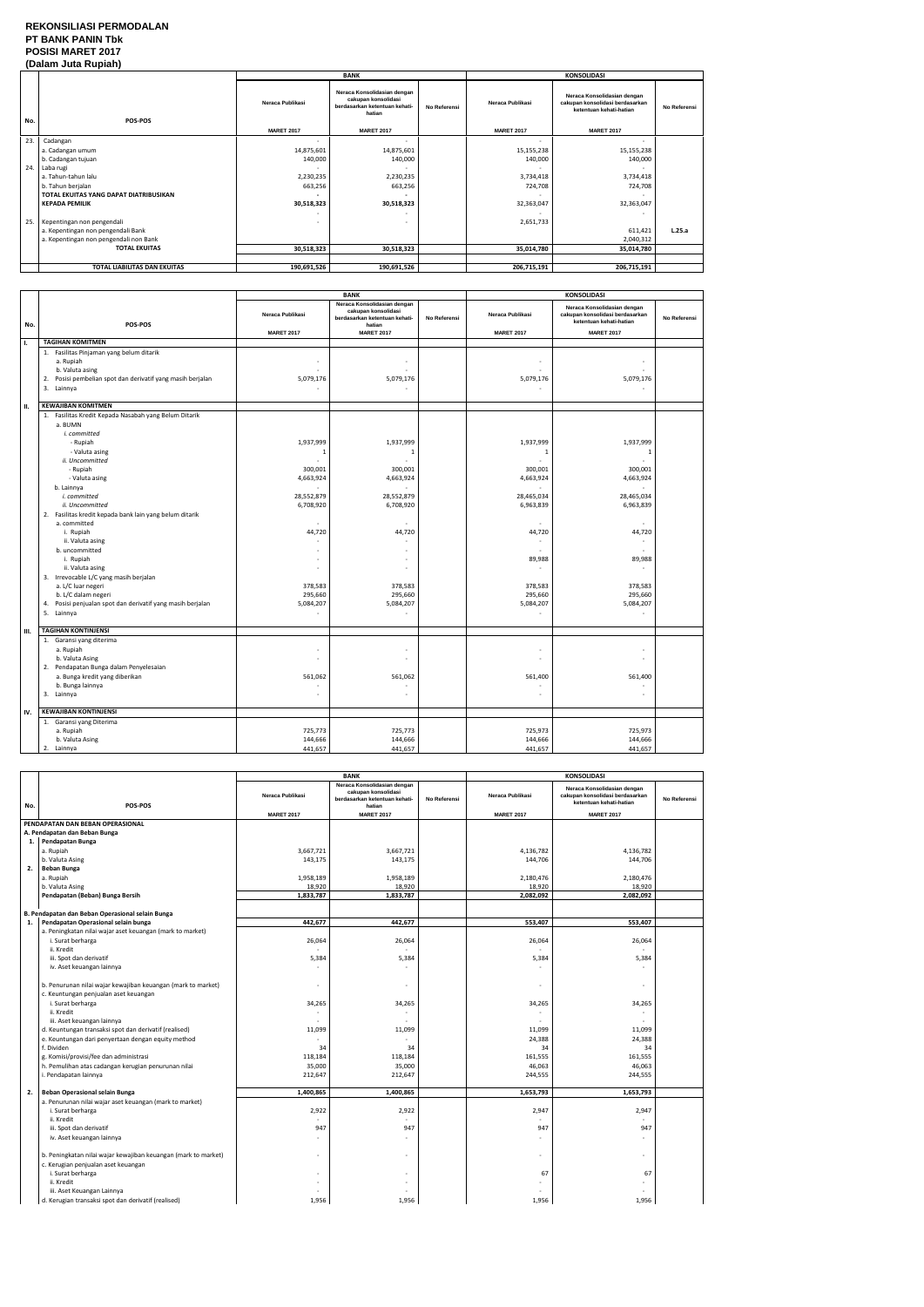### **REKONSILIASI PERMODALAN PT BANK PANIN Tbk POSISI MARET 2017 (Dalam Juta Rupiah)**

|     | $\mu$                                  |                          |                                                                                               |              |                   |                                                                                           |              |  |
|-----|----------------------------------------|--------------------------|-----------------------------------------------------------------------------------------------|--------------|-------------------|-------------------------------------------------------------------------------------------|--------------|--|
|     |                                        |                          | <b>BANK</b>                                                                                   |              |                   | <b>KONSOLIDASI</b>                                                                        |              |  |
| No. | POS-POS                                | Neraca Publikasi         | Neraca Konsolidasian dengan<br>cakupan konsolidasi<br>berdasarkan ketentuan kehati-<br>hatian | No Referensi | Neraca Publikasi  | Neraca Konsolidasian dengan<br>cakupan konsolidasi berdasarkan<br>ketentuan kehati-hatian | No Referensi |  |
|     |                                        | <b>MARET 2017</b>        | <b>MARET 2017</b>                                                                             |              | <b>MARET 2017</b> | <b>MARET 2017</b>                                                                         |              |  |
| 23. | Cadangan                               | $\overline{\phantom{a}}$ | $\sim$                                                                                        |              |                   | $\sim$                                                                                    |              |  |
|     | a. Cadangan umum                       | 14,875,601               | 14,875,601                                                                                    |              | 15,155,238        | 15,155,238                                                                                |              |  |
|     | b. Cadangan tujuan                     | 140,000                  | 140,000                                                                                       |              | 140,000           | 140,000                                                                                   |              |  |
| 24. | Laba rugi                              |                          |                                                                                               |              |                   |                                                                                           |              |  |
|     | a. Tahun-tahun lalu                    | 2,230,235                | 2,230,235                                                                                     |              | 3,734,418         | 3,734,418                                                                                 |              |  |
|     | b. Tahun berjalan                      | 663,256                  | 663,256                                                                                       |              | 724,708           | 724,708                                                                                   |              |  |
|     | TOTAL EKUITAS YANG DAPAT DIATRIBUSIKAN |                          |                                                                                               |              |                   |                                                                                           |              |  |
|     | <b>KEPADA PEMILIK</b>                  | 30,518,323               | 30,518,323                                                                                    |              | 32,363,047        | 32,363,047                                                                                |              |  |
|     |                                        |                          |                                                                                               |              |                   |                                                                                           |              |  |
| 25. | Kepentingan non pengendali             | $\overline{\phantom{a}}$ | $\overline{\phantom{0}}$                                                                      |              | 2,651,733         |                                                                                           |              |  |
|     | a. Kepentingan non pengendali Bank     |                          |                                                                                               |              |                   | 611,421                                                                                   | L.25.a       |  |
|     | a. Kepentingan non pengendali non Bank |                          |                                                                                               |              |                   | 2,040,312                                                                                 |              |  |
|     | <b>TOTAL EKUITAS</b>                   | 30,518,323               | 30,518,323                                                                                    |              | 35,014,780        | 35,014,780                                                                                |              |  |
|     |                                        |                          |                                                                                               |              |                   |                                                                                           |              |  |
|     | TOTAL LIABILITAS DAN EKUITAS           | 190,691,526              | 190,691,526                                                                                   |              | 206,715,191       | 206,715,191                                                                               |              |  |

|      |                                                                                                                                                                                                                                                                                                                                                                                                                                                                                                                                                    |                                                                                                                 | <b>BANK</b>                                                                                                                                                                                         |              | <b>KONSOLIDASI</b>                                                                                                        |                                                                                                                                                            |              |
|------|----------------------------------------------------------------------------------------------------------------------------------------------------------------------------------------------------------------------------------------------------------------------------------------------------------------------------------------------------------------------------------------------------------------------------------------------------------------------------------------------------------------------------------------------------|-----------------------------------------------------------------------------------------------------------------|-----------------------------------------------------------------------------------------------------------------------------------------------------------------------------------------------------|--------------|---------------------------------------------------------------------------------------------------------------------------|------------------------------------------------------------------------------------------------------------------------------------------------------------|--------------|
| No.  | POS-POS                                                                                                                                                                                                                                                                                                                                                                                                                                                                                                                                            | Neraca Publikasi                                                                                                | Neraca Konsolidasian dengan<br>cakupan konsolidasi<br>berdasarkan ketentuan kehati-<br>hatian                                                                                                       | No Referensi | Neraca Publikasi                                                                                                          | Neraca Konsolidasian dengan<br>cakupan konsolidasi berdasarkan<br>ketentuan kehati-hatian                                                                  | No Referensi |
|      |                                                                                                                                                                                                                                                                                                                                                                                                                                                                                                                                                    | <b>MARET 2017</b>                                                                                               | <b>MARET 2017</b>                                                                                                                                                                                   |              | <b>MARET 2017</b>                                                                                                         | <b>MARET 2017</b>                                                                                                                                          |              |
| Ι.   | <b>TAGIHAN KOMITMEN</b>                                                                                                                                                                                                                                                                                                                                                                                                                                                                                                                            |                                                                                                                 |                                                                                                                                                                                                     |              |                                                                                                                           |                                                                                                                                                            |              |
|      | 1. Fasilitas Pinjaman yang belum ditarik<br>a. Rupiah<br>b. Valuta asing<br>Posisi pembelian spot dan derivatif yang masih berjalan<br>2.<br>3. Lainnya                                                                                                                                                                                                                                                                                                                                                                                            | ٠<br>5,079,176                                                                                                  | $\mathbf{r}$<br>5,079,176<br>÷                                                                                                                                                                      |              | 5,079,176                                                                                                                 | ÷<br>5,079,176                                                                                                                                             |              |
| П.   | <b>KEWAJIBAN KOMITMEN</b>                                                                                                                                                                                                                                                                                                                                                                                                                                                                                                                          |                                                                                                                 |                                                                                                                                                                                                     |              |                                                                                                                           |                                                                                                                                                            |              |
|      | 1. Fasilitas Kredit Kepada Nasabah yang Belum Ditarik<br>a. BUMN<br>i. committed<br>- Rupiah<br>- Valuta asing<br>ii. Uncommitted<br>- Rupiah<br>- Valuta asing<br>b. Lainnya<br>i. committed<br>ii. Uncommitted<br>2. Fasilitas kredit kepada bank lain yang belum ditarik<br>a. committed<br>i. Rupiah<br>ii. Valuta asing<br>b. uncommitted<br>i. Rupiah<br>ii. Valuta asing<br>3. Irrevocable L/C yang masih berjalan<br>a. L/C luar negeri<br>b. L/C dalam negeri<br>4. Posisi penjualan spot dan derivatif yang masih berjalan<br>5. Lainnya | 1,937,999<br>-1<br>300,001<br>4,663,924<br>28,552,879<br>6,708,920<br>44,720<br>378,583<br>295,660<br>5,084,207 | 1,937,999<br>-1<br>300,001<br>4,663,924<br>28,552,879<br>6,708,920<br>44,720<br>$\overline{\phantom{a}}$<br>$\mathbf{r}$<br>$\sim$<br>$\overline{a}$<br>378,583<br>295,660<br>5,084,207<br>$\omega$ |              | 1,937,999<br>-1<br>300,001<br>4,663,924<br>28,465,034<br>6,963,839<br>44,720<br>89,988<br>378,583<br>295,660<br>5,084,207 | 1,937,999<br>-1<br>300,001<br>4,663,924<br>÷<br>28,465,034<br>6,963,839<br>44,720<br>$\bar{a}$<br>÷<br>89,988<br>378,583<br>295,660<br>5,084,207<br>$\sim$ |              |
|      |                                                                                                                                                                                                                                                                                                                                                                                                                                                                                                                                                    |                                                                                                                 |                                                                                                                                                                                                     |              |                                                                                                                           |                                                                                                                                                            |              |
| III. | <b>TAGIHAN KONTINJENSI</b>                                                                                                                                                                                                                                                                                                                                                                                                                                                                                                                         |                                                                                                                 |                                                                                                                                                                                                     |              |                                                                                                                           |                                                                                                                                                            |              |
|      | 1. Garansi yang diterima<br>a. Rupiah<br>b. Valuta Asing<br>2. Pendapatan Bunga dalam Penyelesaian<br>a. Bunga kredit yang diberikan<br>b. Bunga lainnya<br>3. Lainnya                                                                                                                                                                                                                                                                                                                                                                             | ٠<br>ä,<br>561,062<br>ä,                                                                                        | $\sim$<br>$\sim$<br>561,062<br>÷<br>$\bar{a}$                                                                                                                                                       |              | 561,400                                                                                                                   | $\overline{a}$<br>÷.<br>561,400<br>÷<br>ä,                                                                                                                 |              |
| IV.  | <b>KEWAJIBAN KONTINJENSI</b>                                                                                                                                                                                                                                                                                                                                                                                                                                                                                                                       |                                                                                                                 |                                                                                                                                                                                                     |              |                                                                                                                           |                                                                                                                                                            |              |
|      | 1. Garansi yang Diterima<br>a. Rupiah<br>b. Valuta Asing<br>2. Lainnya                                                                                                                                                                                                                                                                                                                                                                                                                                                                             | 725,773<br>144,666<br>441,657                                                                                   | 725,773<br>144,666<br>441,657                                                                                                                                                                       |              | 725,973<br>144,666<br>441,657                                                                                             | 725,973<br>144,666<br>441,657                                                                                                                              |              |

|     |                                                                                                       | <b>BANK</b>                           |                                                                                                                    |              | <b>KONSOLIDASI</b>                           |                                                                                                                |              |
|-----|-------------------------------------------------------------------------------------------------------|---------------------------------------|--------------------------------------------------------------------------------------------------------------------|--------------|----------------------------------------------|----------------------------------------------------------------------------------------------------------------|--------------|
| No. | POS-POS                                                                                               | Neraca Publikasi<br><b>MARET 2017</b> | Neraca Konsolidasian dengan<br>cakupan konsolidasi<br>berdasarkan ketentuan kehati-<br>hatian<br><b>MARET 2017</b> | No Referensi | <b>Neraca Publikasi</b><br><b>MARET 2017</b> | Neraca Konsolidasian dengan<br>cakupan konsolidasi berdasarkan<br>ketentuan kehati-hatian<br><b>MARET 2017</b> | No Referensi |
|     | PENDAPATAN DAN BEBAN OPERASIONAL                                                                      |                                       |                                                                                                                    |              |                                              |                                                                                                                |              |
|     | A. Pendapatan dan Beban Bunga                                                                         |                                       |                                                                                                                    |              |                                              |                                                                                                                |              |
|     | 1. Pendapatan Bunga                                                                                   |                                       |                                                                                                                    |              |                                              |                                                                                                                |              |
|     |                                                                                                       |                                       |                                                                                                                    |              |                                              |                                                                                                                |              |
|     | a. Rupiah                                                                                             | 3,667,721                             | 3,667,721                                                                                                          |              | 4,136,782                                    | 4,136,782                                                                                                      |              |
|     | b. Valuta Asing                                                                                       | 143,175                               | 143,175                                                                                                            |              | 144,706                                      | 144,706                                                                                                        |              |
| 2.  | Beban Bunga                                                                                           |                                       |                                                                                                                    |              |                                              |                                                                                                                |              |
|     | a. Rupiah                                                                                             | 1,958,189                             | 1,958,189                                                                                                          |              | 2,180,476                                    | 2,180,476                                                                                                      |              |
|     | b. Valuta Asing                                                                                       | 18,920                                | 18,920                                                                                                             |              | 18,920                                       | 18,920                                                                                                         |              |
|     | Pendapatan (Beban) Bunga Bersih                                                                       | 1,833,787                             | 1,833,787                                                                                                          |              | 2,082,092                                    | 2,082,092                                                                                                      |              |
|     |                                                                                                       |                                       |                                                                                                                    |              |                                              |                                                                                                                |              |
|     | B. Pendapatan dan Beban Operasional selain Bunga                                                      |                                       |                                                                                                                    |              |                                              |                                                                                                                |              |
| 1.  | Pendapatan Operasional selain bunga                                                                   | 442,677                               | 442,677                                                                                                            |              | 553,407                                      | 553,407                                                                                                        |              |
|     | a. Peningkatan nilai wajar aset keuangan (mark to market)                                             |                                       |                                                                                                                    |              |                                              |                                                                                                                |              |
|     | i. Surat berharga                                                                                     | 26,064                                | 26,064                                                                                                             |              | 26,064                                       | 26,064                                                                                                         |              |
|     | ii. Kredit                                                                                            |                                       |                                                                                                                    |              |                                              |                                                                                                                |              |
|     | iii. Spot dan derivatif                                                                               | 5,384                                 | 5,384                                                                                                              |              | 5,384                                        | 5,384                                                                                                          |              |
|     | iv. Aset keuangan lainnya                                                                             |                                       |                                                                                                                    |              |                                              |                                                                                                                |              |
|     | b. Penurunan nilai wajar kewajiban keuangan (mark to market)                                          |                                       | $\overline{\phantom{a}}$                                                                                           |              |                                              |                                                                                                                |              |
|     | c. Keuntungan penjualan aset keuangan                                                                 |                                       |                                                                                                                    |              |                                              |                                                                                                                |              |
|     | i. Surat berharga                                                                                     | 34,265                                | 34,265                                                                                                             |              | 34,265                                       | 34,265                                                                                                         |              |
|     | ii. Kredit                                                                                            |                                       |                                                                                                                    |              |                                              |                                                                                                                |              |
|     | iii. Aset keuangan lainnya                                                                            |                                       |                                                                                                                    |              |                                              |                                                                                                                |              |
|     | d. Keuntungan transaksi spot dan derivatif (realised)                                                 | 11,099                                | 11,099                                                                                                             |              | 11,099                                       | 11,099                                                                                                         |              |
|     | e. Keuntungan dari penyertaan dengan equity method                                                    |                                       |                                                                                                                    |              | 24,388                                       | 24,388                                                                                                         |              |
|     | f. Dividen                                                                                            | 34                                    | 34                                                                                                                 |              | 34                                           | 34                                                                                                             |              |
|     | g. Komisi/provisi/fee dan administrasi                                                                | 118,184                               | 118,184                                                                                                            |              | 161,555                                      | 161,555                                                                                                        |              |
|     | h. Pemulihan atas cadangan kerugian penurunan nilai                                                   | 35,000                                | 35,000                                                                                                             |              | 46,063                                       | 46,063                                                                                                         |              |
|     | i. Pendapatan lainnya                                                                                 | 212,647                               | 212,647                                                                                                            |              | 244,555                                      | 244,555                                                                                                        |              |
|     |                                                                                                       |                                       |                                                                                                                    |              |                                              |                                                                                                                |              |
| 2.  | Beban Operasional selain Bunga                                                                        | 1,400,865                             | 1,400,865                                                                                                          |              | 1,653,793                                    | 1,653,793                                                                                                      |              |
|     | a. Penurunan nilai wajar aset keuangan (mark to market)                                               |                                       |                                                                                                                    |              |                                              |                                                                                                                |              |
|     | i. Surat berharga                                                                                     | 2,922                                 | 2,922                                                                                                              |              | 2,947                                        | 2,947                                                                                                          |              |
|     | ii. Kredit                                                                                            |                                       | $\mathbf{r}$                                                                                                       |              |                                              |                                                                                                                |              |
|     | iii. Spot dan derivatif                                                                               | 947                                   | 947                                                                                                                |              | 947                                          | 947                                                                                                            |              |
|     | iv. Aset keuangan lainnya                                                                             |                                       | $\sim$                                                                                                             |              |                                              | $\mathbf{r}$                                                                                                   |              |
|     | b. Peningkatan nilai wajar kewajiban keuangan (mark to market)<br>c. Kerugian penjualan aset keuangan |                                       | $\mathbf{r}$                                                                                                       |              |                                              | $\overline{a}$                                                                                                 |              |
|     | i. Surat berharga                                                                                     |                                       | ÷                                                                                                                  |              | 67                                           | 67                                                                                                             |              |
|     | ii. Kredit                                                                                            |                                       |                                                                                                                    |              |                                              |                                                                                                                |              |
|     | iii. Aset Keuangan Lainnya                                                                            |                                       |                                                                                                                    |              |                                              |                                                                                                                |              |
|     | d. Kerugian transaksi spot dan derivatif (realised)                                                   | 1,956                                 | 1,956                                                                                                              |              | 1,956                                        | 1,956                                                                                                          |              |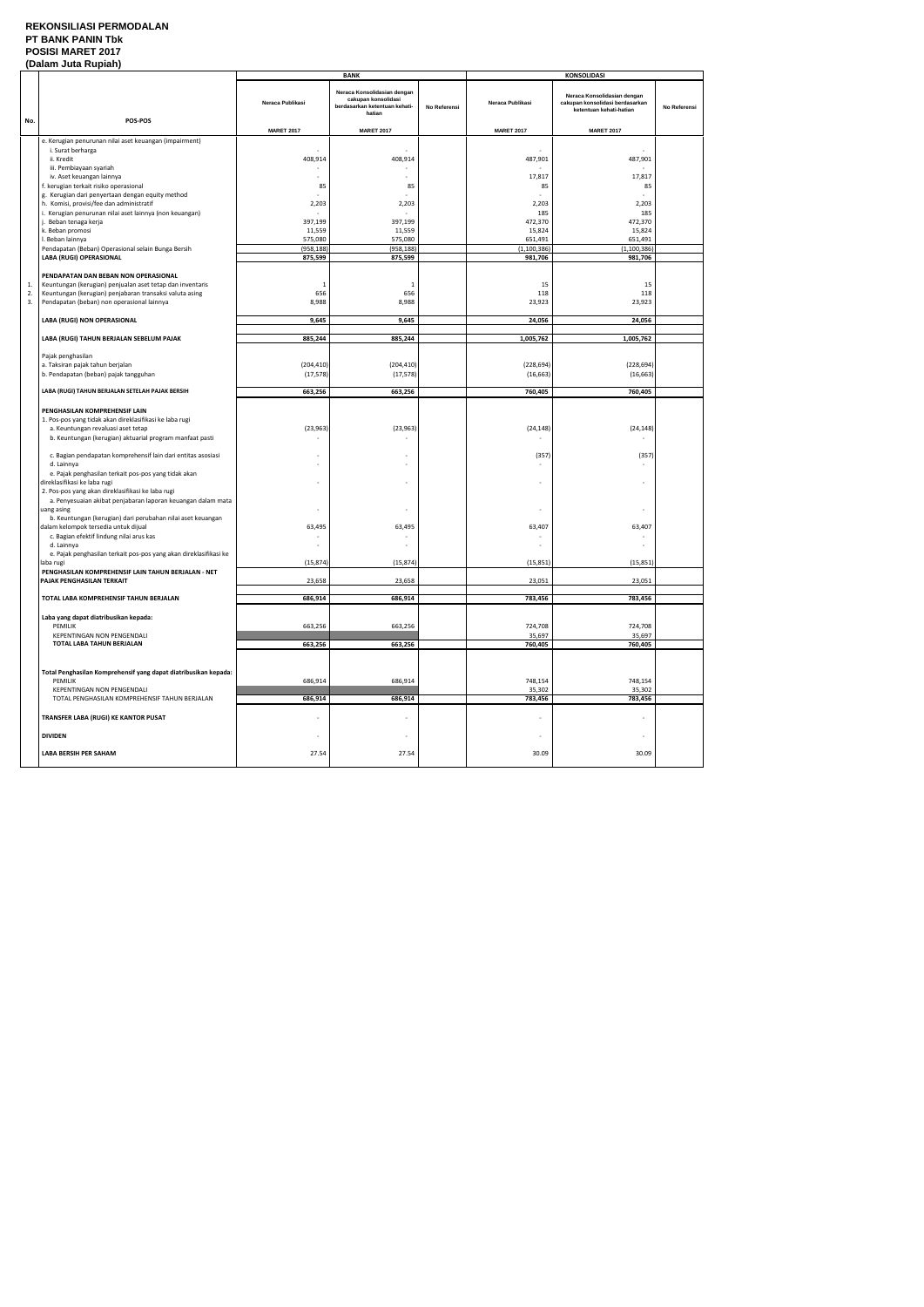### **REKONSILIASI PERMODALAN PT BANK PANIN Tbk POSISI MARET 2017 (Dalam Juta Rupiah)**

|     | (Dalam Juta Ruplan)                                               |                          |                                                                                               |              |                   |                                                                                           |              |  |  |
|-----|-------------------------------------------------------------------|--------------------------|-----------------------------------------------------------------------------------------------|--------------|-------------------|-------------------------------------------------------------------------------------------|--------------|--|--|
|     |                                                                   |                          | <b>BANK</b>                                                                                   |              |                   | <b>KONSOLIDASI</b>                                                                        |              |  |  |
| No. | POS-POS                                                           | Neraca Publikasi         | Neraca Konsolidasian dengan<br>cakupan konsolidasi<br>berdasarkan ketentuan kehati-<br>hatian | No Referensi | Neraca Publikasi  | Neraca Konsolidasian dengan<br>cakupan konsolidasi berdasarkan<br>ketentuan kehati-hatian | No Referensi |  |  |
|     |                                                                   | <b>MARET 2017</b>        | <b>MARET 2017</b>                                                                             |              | <b>MARET 2017</b> | <b>MARET 2017</b>                                                                         |              |  |  |
|     |                                                                   |                          |                                                                                               |              |                   |                                                                                           |              |  |  |
|     | e. Kerugian penurunan nilai aset keuangan (impairment)            |                          |                                                                                               |              |                   |                                                                                           |              |  |  |
|     | i. Surat berharga                                                 |                          |                                                                                               |              |                   | $\sim$                                                                                    |              |  |  |
|     |                                                                   |                          |                                                                                               |              |                   |                                                                                           |              |  |  |
|     | ii. Kredit                                                        | 408,914                  | 408,914                                                                                       |              | 487,901           | 487,901                                                                                   |              |  |  |
|     | iii. Pembiayaan syariah                                           |                          |                                                                                               |              |                   |                                                                                           |              |  |  |
|     | iv. Aset keuangan lainnya                                         |                          |                                                                                               |              | 17,817            | 17,817                                                                                    |              |  |  |
|     |                                                                   |                          |                                                                                               |              |                   |                                                                                           |              |  |  |
|     | f. kerugian terkait risiko operasional                            | 85                       | 85                                                                                            |              | 85                | 85                                                                                        |              |  |  |
|     | g. Kerugian dari penyertaan dengan equity method                  |                          |                                                                                               |              |                   |                                                                                           |              |  |  |
|     |                                                                   |                          |                                                                                               |              |                   |                                                                                           |              |  |  |
|     | h. Komisi, provisi/fee dan administratif                          | 2,203                    | 2,203                                                                                         |              | 2,203             | 2,203                                                                                     |              |  |  |
|     | i. Kerugian penurunan nilai aset lainnya (non keuangan)           |                          |                                                                                               |              | 185               | 185                                                                                       |              |  |  |
|     | j. Beban tenaga kerja                                             | 397,199                  | 397,199                                                                                       |              | 472,370           | 472,370                                                                                   |              |  |  |
|     |                                                                   |                          |                                                                                               |              |                   |                                                                                           |              |  |  |
|     | k. Beban promosi                                                  | 11,559                   | 11,559                                                                                        |              | 15,824            | 15,824                                                                                    |              |  |  |
|     | I. Beban lainnya                                                  | 575,080                  | 575,080                                                                                       |              | 651,491           | 651,491                                                                                   |              |  |  |
|     | Pendapatan (Beban) Operasional selain Bunga Bersih                | (958, 188)               | (958, 188)                                                                                    |              | (1, 100, 386)     | (1, 100, 386)                                                                             |              |  |  |
|     |                                                                   |                          |                                                                                               |              |                   |                                                                                           |              |  |  |
|     | LABA (RUGI) OPERASIONAL                                           | 875,599                  | 875,599                                                                                       |              | 981,706           | 981,706                                                                                   |              |  |  |
|     |                                                                   |                          |                                                                                               |              |                   |                                                                                           |              |  |  |
|     | PENDAPATAN DAN BEBAN NON OPERASIONAL                              |                          |                                                                                               |              |                   |                                                                                           |              |  |  |
|     |                                                                   |                          |                                                                                               |              |                   |                                                                                           |              |  |  |
| 1.  | Keuntungan (kerugian) penjualan aset tetap dan inventaris         | $\mathbf{1}$             | 1                                                                                             |              | 15                | 15                                                                                        |              |  |  |
| 2.  | Keuntungan (kerugian) penjabaran transaksi valuta asing           | 656                      | 656                                                                                           |              | 118               | 118                                                                                       |              |  |  |
| 3.  |                                                                   |                          |                                                                                               |              |                   |                                                                                           |              |  |  |
|     | Pendapatan (beban) non operasional lainnya                        | 8,988                    | 8,988                                                                                         |              | 23,923            | 23,923                                                                                    |              |  |  |
|     |                                                                   |                          |                                                                                               |              |                   |                                                                                           |              |  |  |
|     | LABA (RUGI) NON OPERASIONAL                                       | 9,645                    | 9,645                                                                                         |              | 24,056            | 24,056                                                                                    |              |  |  |
|     |                                                                   |                          |                                                                                               |              |                   |                                                                                           |              |  |  |
|     |                                                                   |                          |                                                                                               |              |                   |                                                                                           |              |  |  |
|     | LABA (RUGI) TAHUN BERJALAN SEBELUM PAJAK                          | 885,244                  | 885,244                                                                                       |              | 1,005,762         | 1,005,762                                                                                 |              |  |  |
|     |                                                                   |                          |                                                                                               |              |                   |                                                                                           |              |  |  |
|     |                                                                   |                          |                                                                                               |              |                   |                                                                                           |              |  |  |
|     | Pajak penghasilan                                                 |                          |                                                                                               |              |                   |                                                                                           |              |  |  |
|     | a. Taksiran pajak tahun berjalan                                  | (204, 410)               | (204, 410)                                                                                    |              | (228, 694)        | (228, 694)                                                                                |              |  |  |
|     |                                                                   |                          |                                                                                               |              |                   |                                                                                           |              |  |  |
|     | b. Pendapatan (beban) pajak tangguhan                             | (17, 578)                | (17, 578)                                                                                     |              | (16, 663)         | (16, 663)                                                                                 |              |  |  |
|     |                                                                   |                          |                                                                                               |              |                   |                                                                                           |              |  |  |
|     | LABA (RUGI) TAHUN BERJALAN SETELAH PAJAK BERSIH                   | 663,256                  | 663,256                                                                                       |              | 760,405           | 760,405                                                                                   |              |  |  |
|     |                                                                   |                          |                                                                                               |              |                   |                                                                                           |              |  |  |
|     |                                                                   |                          |                                                                                               |              |                   |                                                                                           |              |  |  |
|     | PENGHASILAN KOMPREHENSIF LAIN                                     |                          |                                                                                               |              |                   |                                                                                           |              |  |  |
|     | 1. Pos-pos yang tidak akan direklasifikasi ke laba rugi           |                          |                                                                                               |              |                   |                                                                                           |              |  |  |
|     |                                                                   |                          |                                                                                               |              |                   |                                                                                           |              |  |  |
|     | a. Keuntungan revaluasi aset tetap                                | (23, 963)                | (23, 963)                                                                                     |              | (24, 148)         | (24, 148)                                                                                 |              |  |  |
|     | b. Keuntungan (kerugian) aktuarial program manfaat pasti          |                          |                                                                                               |              |                   |                                                                                           |              |  |  |
|     |                                                                   |                          |                                                                                               |              |                   |                                                                                           |              |  |  |
|     |                                                                   |                          |                                                                                               |              |                   |                                                                                           |              |  |  |
|     | c. Bagian pendapatan komprehensif lain dari entitas asosiasi      |                          |                                                                                               |              | (357)             | (357)                                                                                     |              |  |  |
|     | d. Lainnya                                                        | $\overline{\phantom{a}}$ |                                                                                               |              |                   |                                                                                           |              |  |  |
|     | e. Pajak penghasilan terkait pos-pos yang tidak akan              |                          |                                                                                               |              |                   |                                                                                           |              |  |  |
|     |                                                                   |                          |                                                                                               |              |                   |                                                                                           |              |  |  |
|     | direklasifikasi ke laba rugi                                      | $\overline{\phantom{a}}$ |                                                                                               |              |                   | $\overline{a}$                                                                            |              |  |  |
|     | 2. Pos-pos yang akan direklasifikasi ke laba rugi                 |                          |                                                                                               |              |                   |                                                                                           |              |  |  |
|     |                                                                   |                          |                                                                                               |              |                   |                                                                                           |              |  |  |
|     | a. Penyesuaian akibat penjabaran laporan keuangan dalam mata      |                          |                                                                                               |              |                   |                                                                                           |              |  |  |
|     | uang asing                                                        |                          |                                                                                               |              |                   |                                                                                           |              |  |  |
|     | b. Keuntungan (kerugian) dari perubahan nilai aset keuangan       |                          |                                                                                               |              |                   |                                                                                           |              |  |  |
|     |                                                                   |                          |                                                                                               |              |                   |                                                                                           |              |  |  |
|     | dalam kelompok tersedia untuk dijual                              | 63,495                   | 63,495                                                                                        |              | 63,407            | 63,407                                                                                    |              |  |  |
|     | c. Bagian efektif lindung nilai arus kas                          |                          |                                                                                               |              |                   |                                                                                           |              |  |  |
|     | d. Lainnya                                                        |                          |                                                                                               |              |                   |                                                                                           |              |  |  |
|     |                                                                   |                          |                                                                                               |              |                   |                                                                                           |              |  |  |
|     | e. Pajak penghasilan terkait pos-pos yang akan direklasifikasi ke |                          |                                                                                               |              |                   |                                                                                           |              |  |  |
|     | laba rugi                                                         | (15, 874)                | (15, 874)                                                                                     |              | (15, 851)         | (15, 851)                                                                                 |              |  |  |
|     | PENGHASILAN KOMPREHENSIF LAIN TAHUN BERJALAN - NET                |                          |                                                                                               |              |                   |                                                                                           |              |  |  |
|     |                                                                   |                          |                                                                                               |              |                   |                                                                                           |              |  |  |
|     | PAJAK PENGHASILAN TERKAIT                                         | 23,658                   | 23,658                                                                                        |              | 23,051            | 23,051                                                                                    |              |  |  |
|     |                                                                   |                          |                                                                                               |              |                   |                                                                                           |              |  |  |
|     | TOTAL LABA KOMPREHENSIF TAHUN BERJALAN                            | 686,914                  | 686,914                                                                                       |              | 783,456           | 783,456                                                                                   |              |  |  |
|     |                                                                   |                          |                                                                                               |              |                   |                                                                                           |              |  |  |
|     |                                                                   |                          |                                                                                               |              |                   |                                                                                           |              |  |  |
|     | Laba yang dapat diatribusikan kepada:                             |                          |                                                                                               |              |                   |                                                                                           |              |  |  |
|     | PEMILIK                                                           | 663,256                  | 663,256                                                                                       |              | 724,708           | 724,708                                                                                   |              |  |  |
|     |                                                                   |                          |                                                                                               |              |                   |                                                                                           |              |  |  |
|     | KEPENTINGAN NON PENGENDALI                                        |                          |                                                                                               |              | 35,697            | 35,697                                                                                    |              |  |  |
|     | TOTAL LABA TAHUN BERJALAN                                         | 663,256                  | 663,256                                                                                       |              | 760,405           | 760,405                                                                                   |              |  |  |
|     |                                                                   |                          |                                                                                               |              |                   |                                                                                           |              |  |  |
|     |                                                                   |                          |                                                                                               |              |                   |                                                                                           |              |  |  |
|     |                                                                   |                          |                                                                                               |              |                   |                                                                                           |              |  |  |
|     | Total Penghasilan Komprehensif yang dapat diatribusikan kepada:   |                          |                                                                                               |              |                   |                                                                                           |              |  |  |
|     |                                                                   |                          |                                                                                               |              |                   |                                                                                           |              |  |  |
|     | PEMILIK                                                           | 686,914                  | 686,914                                                                                       |              | 748,154           | 748,154                                                                                   |              |  |  |
|     | KEPENTINGAN NON PENGENDALI                                        |                          |                                                                                               |              | 35,302            | 35,302                                                                                    |              |  |  |
|     | TOTAL PENGHASILAN KOMPREHENSIF TAHUN BERJALAN                     |                          |                                                                                               |              |                   |                                                                                           |              |  |  |
|     |                                                                   | 686,914                  | 686,914                                                                                       |              | 783,456           | 783,456                                                                                   |              |  |  |
|     |                                                                   |                          |                                                                                               |              |                   |                                                                                           |              |  |  |
|     | TRANSFER LABA (RUGI) KE KANTOR PUSAT                              |                          |                                                                                               |              |                   |                                                                                           |              |  |  |
|     |                                                                   |                          |                                                                                               |              |                   |                                                                                           |              |  |  |
|     |                                                                   |                          |                                                                                               |              |                   |                                                                                           |              |  |  |
|     | <b>DIVIDEN</b>                                                    | $\overline{\phantom{a}}$ | $\overline{\phantom{a}}$                                                                      |              |                   | $\sim$                                                                                    |              |  |  |
|     |                                                                   |                          |                                                                                               |              |                   |                                                                                           |              |  |  |
|     |                                                                   |                          |                                                                                               |              |                   |                                                                                           |              |  |  |
|     | <b>LABA BERSIH PER SAHAM</b>                                      | 27.54                    | 27.54                                                                                         |              | 30.09             | 30.09                                                                                     |              |  |  |
|     |                                                                   |                          |                                                                                               |              |                   |                                                                                           |              |  |  |
|     |                                                                   |                          |                                                                                               |              |                   |                                                                                           |              |  |  |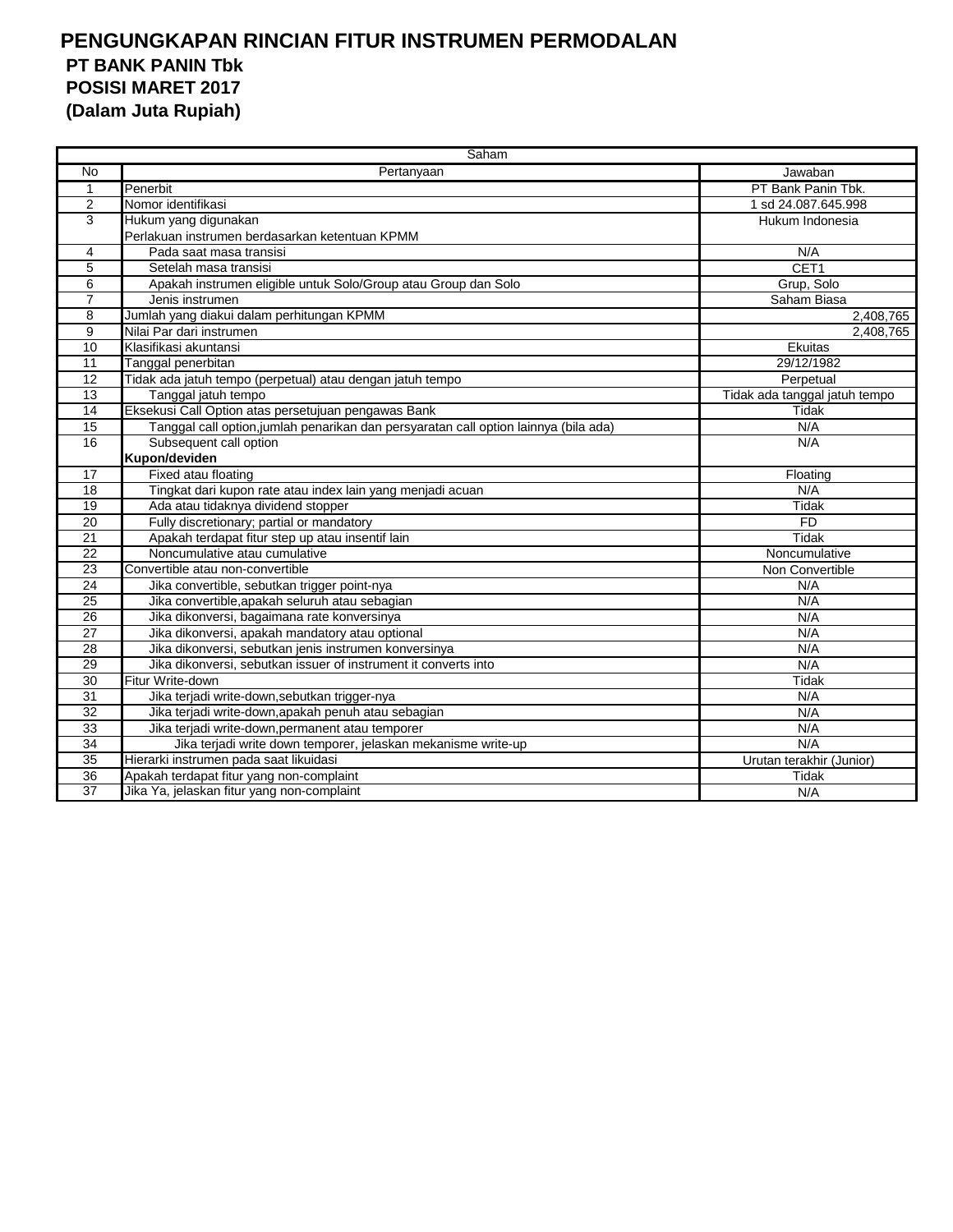|                 | Saham                                                                                |                               |  |  |  |  |
|-----------------|--------------------------------------------------------------------------------------|-------------------------------|--|--|--|--|
| No              | Pertanyaan                                                                           | Jawaban                       |  |  |  |  |
| $\mathbf 1$     | Penerbit                                                                             | PT Bank Panin Tbk.            |  |  |  |  |
| 2               | Nomor identifikasi                                                                   | 1 sd 24.087.645.998           |  |  |  |  |
| 3               | Hukum yang digunakan                                                                 | Hukum Indonesia               |  |  |  |  |
|                 | Perlakuan instrumen berdasarkan ketentuan KPMM                                       |                               |  |  |  |  |
| 4               | Pada saat masa transisi                                                              | N/A                           |  |  |  |  |
| 5               | Setelah masa transisi                                                                | CET1                          |  |  |  |  |
| 6               | Apakah instrumen eligible untuk Solo/Group atau Group dan Solo                       | Grup, Solo                    |  |  |  |  |
| $\overline{7}$  | Jenis instrumen                                                                      | Saham Biasa                   |  |  |  |  |
| 8               | Jumlah yang diakui dalam perhitungan KPMM                                            | 2,408,765                     |  |  |  |  |
| 9               | Nilai Par dari instrumen                                                             | 2,408,765                     |  |  |  |  |
| $\overline{10}$ | Klasifikasi akuntansi                                                                | Ekuitas                       |  |  |  |  |
| 11              | Tanggal penerbitan                                                                   | 29/12/1982                    |  |  |  |  |
| 12              | Tidak ada jatuh tempo (perpetual) atau dengan jatuh tempo                            | Perpetual                     |  |  |  |  |
| 13              | Tanggal jatuh tempo                                                                  | Tidak ada tanggal jatuh tempo |  |  |  |  |
| 14              | Eksekusi Call Option atas persetujuan pengawas Bank                                  | Tidak                         |  |  |  |  |
| $\overline{15}$ | Tanggal call option, jumlah penarikan dan persyaratan call option lainnya (bila ada) | N/A                           |  |  |  |  |
| 16              | Subsequent call option                                                               | N/A                           |  |  |  |  |
|                 | Kupon/deviden                                                                        |                               |  |  |  |  |
| 17              | Fixed atau floating                                                                  | Floating                      |  |  |  |  |
| 18              | Tingkat dari kupon rate atau index lain yang menjadi acuan                           | N/A                           |  |  |  |  |
| $\overline{19}$ | Ada atau tidaknya dividend stopper                                                   | Tidak                         |  |  |  |  |
| 20              | Fully discretionary; partial or mandatory                                            | <b>FD</b>                     |  |  |  |  |
| 21              | Apakah terdapat fitur step up atau insentif lain                                     | Tidak                         |  |  |  |  |
| 22              | Noncumulative atau cumulative                                                        | Noncumulative                 |  |  |  |  |
| 23              | Convertible atau non-convertible                                                     | Non Convertible               |  |  |  |  |
| $\overline{24}$ | Jika convertible, sebutkan trigger point-nya                                         | N/A                           |  |  |  |  |
| 25              | Jika convertible, apakah seluruh atau sebagian                                       | N/A                           |  |  |  |  |
| 26              | Jika dikonversi, bagaimana rate konversinya                                          | N/A                           |  |  |  |  |
| 27              | Jika dikonversi, apakah mandatory atau optional                                      | N/A                           |  |  |  |  |
| $\overline{28}$ | Jika dikonversi, sebutkan jenis instrumen konversinya                                | N/A                           |  |  |  |  |
| 29              | Jika dikonversi, sebutkan issuer of instrument it converts into                      | N/A                           |  |  |  |  |
| 30              | Fitur Write-down                                                                     | Tidak                         |  |  |  |  |
| 31              | Jika terjadi write-down, sebutkan trigger-nya                                        | N/A                           |  |  |  |  |
| $\overline{32}$ | Jika terjadi write-down, apakah penuh atau sebagian                                  | N/A                           |  |  |  |  |
| $\overline{33}$ | Jika terjadi write-down, permanent atau temporer                                     | N/A                           |  |  |  |  |
| 34              | Jika terjadi write down temporer, jelaskan mekanisme write-up                        | N/A                           |  |  |  |  |
| $\overline{35}$ | Hierarki instrumen pada saat likuidasi                                               | Urutan terakhir (Junior)      |  |  |  |  |
| 36              | Apakah terdapat fitur yang non-complaint                                             | Tidak                         |  |  |  |  |
| $\overline{37}$ | Jika Ya, jelaskan fitur yang non-complaint                                           | N/A                           |  |  |  |  |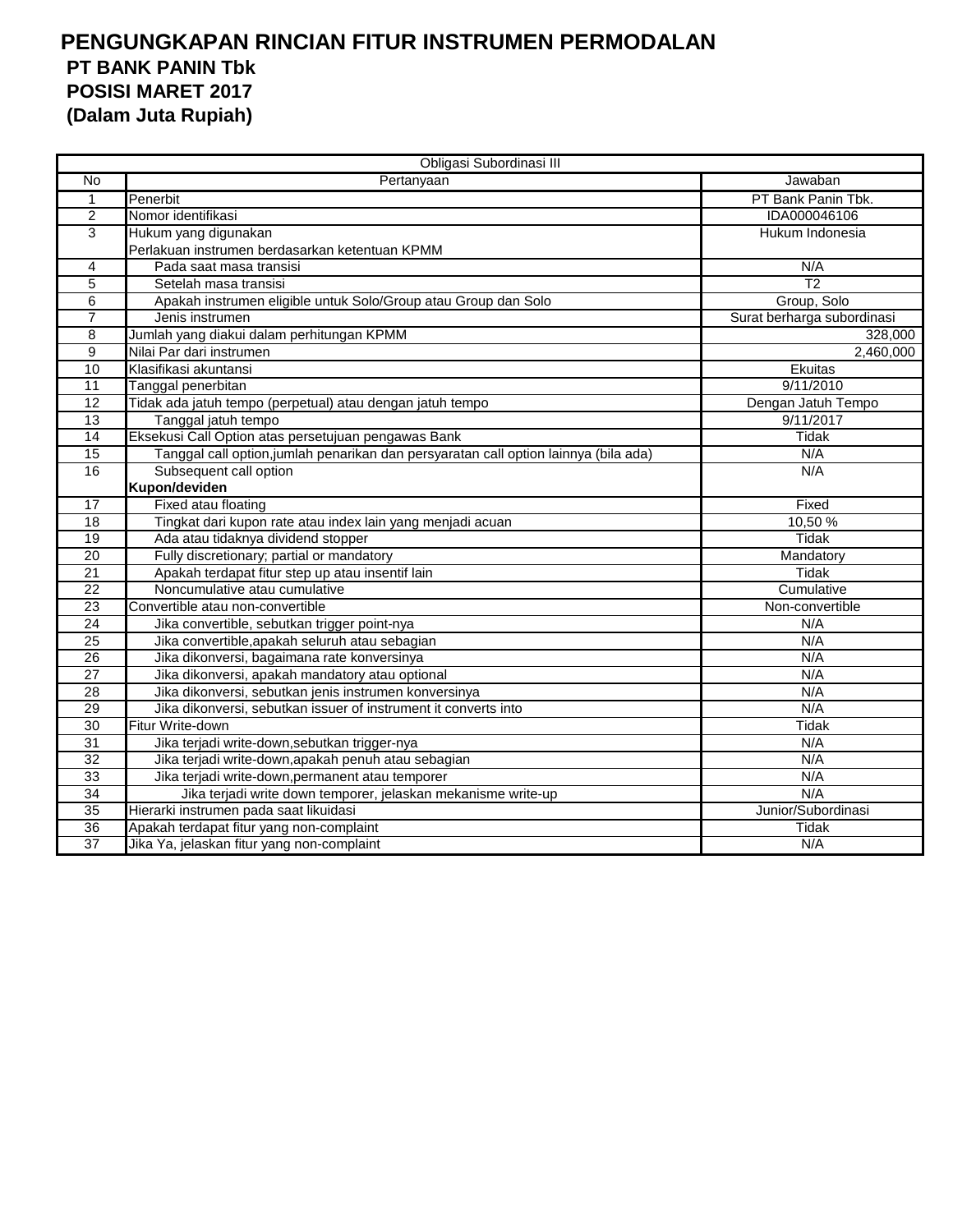|                 | Obligasi Subordinasi III                                                             |                            |
|-----------------|--------------------------------------------------------------------------------------|----------------------------|
| No              | Pertanyaan                                                                           | Jawaban                    |
| $\mathbf{1}$    | Penerbit                                                                             | PT Bank Panin Tbk.         |
| $\overline{2}$  | Nomor identifikasi                                                                   | IDA000046106               |
| 3               | Hukum yang digunakan                                                                 | Hukum Indonesia            |
|                 | Perlakuan instrumen berdasarkan ketentuan KPMM                                       |                            |
| 4               | Pada saat masa transisi                                                              | N/A                        |
| 5               | Setelah masa transisi                                                                | T <sub>2</sub>             |
| 6               | Apakah instrumen eligible untuk Solo/Group atau Group dan Solo                       | Group, Solo                |
| $\overline{7}$  | Jenis instrumen                                                                      | Surat berharga subordinasi |
| 8               | Jumlah yang diakui dalam perhitungan KPMM                                            | 328,000                    |
| 9               | Nilai Par dari instrumen                                                             | 2,460,000                  |
| 10              | Klasifikasi akuntansi                                                                | Ekuitas                    |
| 11              | Tanggal penerbitan                                                                   | 9/11/2010                  |
| 12              | Tidak ada jatuh tempo (perpetual) atau dengan jatuh tempo                            | Dengan Jatuh Tempo         |
| 13              | Tanggal jatuh tempo                                                                  | 9/11/2017                  |
| $\overline{14}$ | Eksekusi Call Option atas persetujuan pengawas Bank                                  | Tidak                      |
| $\overline{15}$ | Tanggal call option, jumlah penarikan dan persyaratan call option lainnya (bila ada) | N/A                        |
| 16              | Subsequent call option                                                               | N/A                        |
|                 | Kupon/deviden                                                                        |                            |
| 17              | Fixed atau floating                                                                  | Fixed                      |
| 18              | Tingkat dari kupon rate atau index lain yang menjadi acuan                           | 10,50 %                    |
| 19              | Ada atau tidaknya dividend stopper                                                   | Tidak                      |
| $\overline{20}$ | Fully discretionary; partial or mandatory                                            | Mandatory                  |
| 21              | Apakah terdapat fitur step up atau insentif lain                                     | Tidak                      |
| $\overline{22}$ | Noncumulative atau cumulative                                                        | Cumulative                 |
| $\overline{23}$ | Convertible atau non-convertible                                                     | Non-convertible            |
| 24              | Jika convertible, sebutkan trigger point-nya                                         | N/A                        |
| $\overline{25}$ | Jika convertible, apakah seluruh atau sebagian                                       | N/A                        |
| $\overline{26}$ | Jika dikonversi, bagaimana rate konversinya                                          | N/A                        |
| 27              | Jika dikonversi, apakah mandatory atau optional                                      | N/A                        |
| 28              | Jika dikonversi, sebutkan jenis instrumen konversinya                                | N/A                        |
| 29              | Jika dikonversi, sebutkan issuer of instrument it converts into                      | N/A                        |
| 30              | Fitur Write-down                                                                     | Tidak                      |
| $\overline{31}$ | Jika terjadi write-down, sebutkan trigger-nya                                        | N/A                        |
| $\overline{32}$ | Jika terjadi write-down, apakah penuh atau sebagian                                  | N/A                        |
| 33              | Jika terjadi write-down, permanent atau temporer                                     | N/A                        |
| 34              | Jika terjadi write down temporer, jelaskan mekanisme write-up                        | N/A                        |
| $\overline{35}$ | Hierarki instrumen pada saat likuidasi                                               | Junior/Subordinasi         |
| $\overline{36}$ | Apakah terdapat fitur yang non-complaint                                             | Tidak                      |
| 37              | Jika Ya, jelaskan fitur yang non-complaint                                           | N/A                        |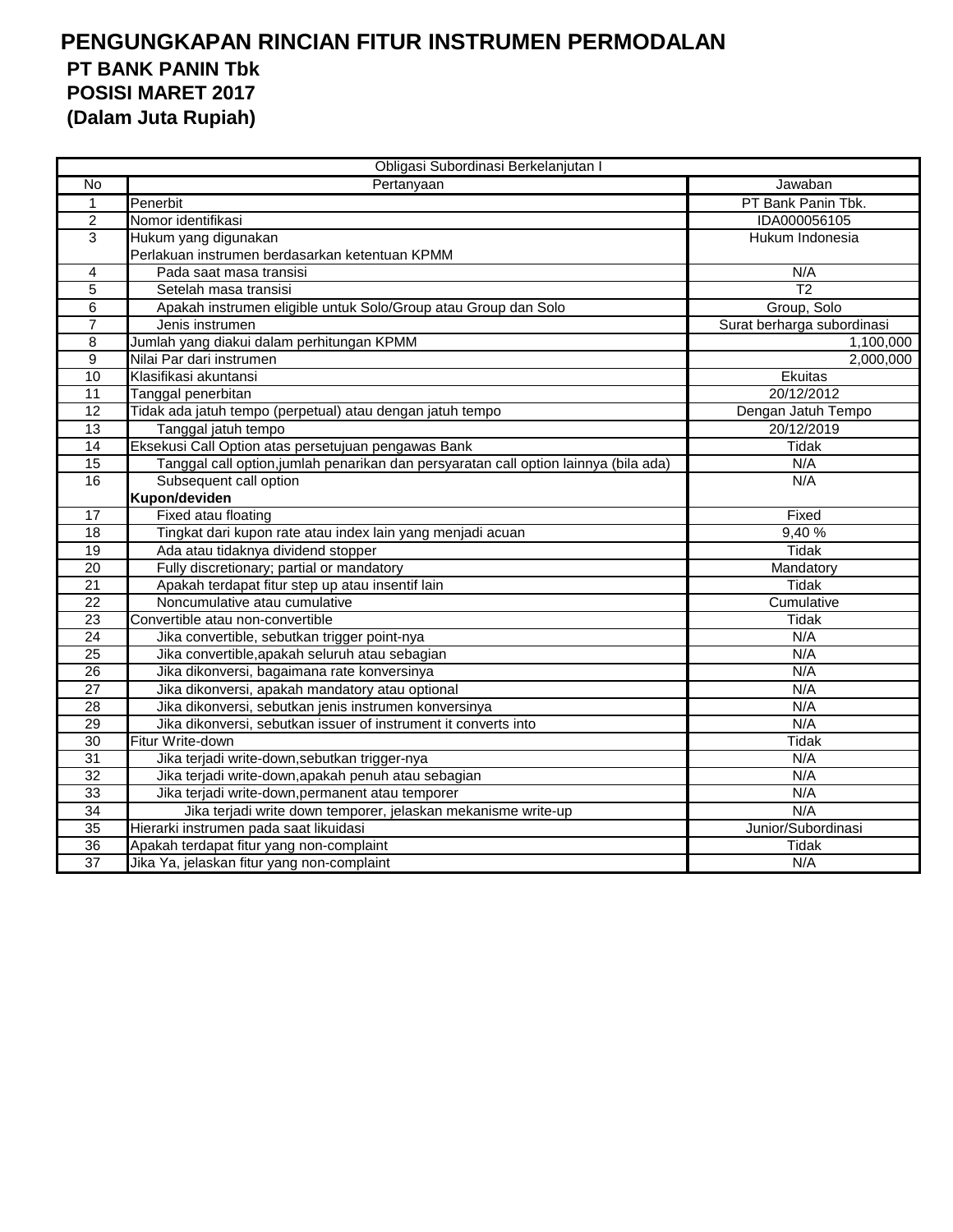| Obligasi Subordinasi Berkelanjutan I |                                                                                      |                            |  |  |  |
|--------------------------------------|--------------------------------------------------------------------------------------|----------------------------|--|--|--|
| <b>No</b>                            | Pertanyaan                                                                           | Jawaban                    |  |  |  |
| $\mathbf{1}$                         | Penerbit                                                                             | PT Bank Panin Tbk.         |  |  |  |
| $\overline{2}$                       | Nomor identifikasi                                                                   | IDA000056105               |  |  |  |
| 3                                    | Hukum yang digunakan                                                                 | Hukum Indonesia            |  |  |  |
|                                      | Perlakuan instrumen berdasarkan ketentuan KPMM                                       |                            |  |  |  |
| 4                                    | Pada saat masa transisi                                                              | N/A                        |  |  |  |
| 5                                    | Setelah masa transisi                                                                | $\overline{12}$            |  |  |  |
| $\overline{6}$                       | Apakah instrumen eligible untuk Solo/Group atau Group dan Solo                       | Group, Solo                |  |  |  |
| $\overline{7}$                       | Jenis instrumen                                                                      | Surat berharga subordinasi |  |  |  |
| 8                                    | Jumlah yang diakui dalam perhitungan KPMM                                            | 1,100,000                  |  |  |  |
| 9                                    | Nilai Par dari instrumen                                                             | 2,000,000                  |  |  |  |
| 10                                   | Klasifikasi akuntansi                                                                | Ekuitas                    |  |  |  |
| 11                                   | Tanggal penerbitan                                                                   | 20/12/2012                 |  |  |  |
| 12                                   | Tidak ada jatuh tempo (perpetual) atau dengan jatuh tempo                            | Dengan Jatuh Tempo         |  |  |  |
| 13                                   | Tanggal jatuh tempo                                                                  | 20/12/2019                 |  |  |  |
| $\overline{14}$                      | Eksekusi Call Option atas persetujuan pengawas Bank                                  | Tidak                      |  |  |  |
| $\overline{15}$                      | Tanggal call option, jumlah penarikan dan persyaratan call option lainnya (bila ada) | N/A                        |  |  |  |
| 16                                   | Subsequent call option                                                               | N/A                        |  |  |  |
|                                      | Kupon/deviden                                                                        |                            |  |  |  |
| 17                                   | Fixed atau floating                                                                  | Fixed                      |  |  |  |
| 18                                   | Tingkat dari kupon rate atau index lain yang menjadi acuan                           | 9,40%                      |  |  |  |
| 19                                   | Ada atau tidaknya dividend stopper                                                   | <b>Tidak</b>               |  |  |  |
| 20                                   | Fully discretionary; partial or mandatory                                            | Mandatory                  |  |  |  |
| $\overline{21}$                      | Apakah terdapat fitur step up atau insentif lain                                     | Tidak                      |  |  |  |
| 22                                   | Noncumulative atau cumulative                                                        | Cumulative                 |  |  |  |
| 23                                   | Convertible atau non-convertible                                                     | <b>Tidak</b>               |  |  |  |
| $\overline{24}$                      | Jika convertible, sebutkan trigger point-nya                                         | N/A                        |  |  |  |
| $\overline{25}$                      | Jika convertible, apakah seluruh atau sebagian                                       | N/A                        |  |  |  |
| 26                                   | Jika dikonversi, bagaimana rate konversinya                                          | N/A                        |  |  |  |
| $\overline{27}$                      | Jika dikonversi, apakah mandatory atau optional                                      | N/A                        |  |  |  |
| 28                                   | Jika dikonversi, sebutkan jenis instrumen konversinya                                | N/A                        |  |  |  |
| 29                                   | Jika dikonversi, sebutkan issuer of instrument it converts into                      | N/A                        |  |  |  |
| 30                                   | Fitur Write-down                                                                     | Tidak                      |  |  |  |
| 31                                   | Jika terjadi write-down, sebutkan trigger-nya                                        | N/A                        |  |  |  |
| $\overline{32}$                      | Jika terjadi write-down, apakah penuh atau sebagian                                  | N/A                        |  |  |  |
| 33                                   | Jika terjadi write-down, permanent atau temporer                                     | N/A                        |  |  |  |
| 34                                   | Jika terjadi write down temporer, jelaskan mekanisme write-up                        | N/A                        |  |  |  |
| 35                                   | Hierarki instrumen pada saat likuidasi                                               | Junior/Subordinasi         |  |  |  |
| 36                                   | Apakah terdapat fitur yang non-complaint                                             | Tidak                      |  |  |  |
| $\overline{37}$                      | Jika Ya, jelaskan fitur yang non-complaint                                           | N/A                        |  |  |  |